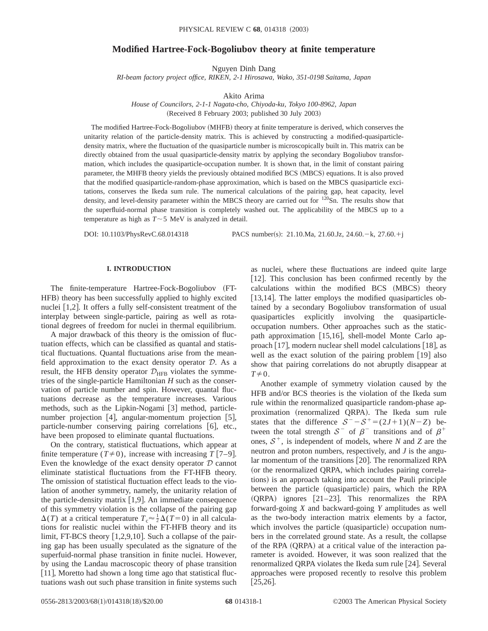# **Modified Hartree-Fock-Bogoliubov theory at finite temperature**

Nguyen Dinh Dang

*RI-beam factory project office, RIKEN, 2-1 Hirosawa, Wako, 351-0198 Saitama, Japan*

Akito Arima

*House of Councilors, 2-1-1 Nagata-cho, Chiyoda-ku, Tokyo 100-8962, Japan* (Received 8 February 2003; published 30 July 2003)

The modified Hartree-Fock-Bogoliubov (MHFB) theory at finite temperature is derived, which conserves the unitarity relation of the particle-density matrix. This is achieved by constructing a modified-quasiparticledensity matrix, where the fluctuation of the quasiparticle number is microscopically built in. This matrix can be directly obtained from the usual quasiparticle-density matrix by applying the secondary Bogoliubov transformation, which includes the quasiparticle-occupation number. It is shown that, in the limit of constant pairing parameter, the MHFB theory yields the previously obtained modified BCS (MBCS) equations. It is also proved that the modified quasiparticle-random-phase approximation, which is based on the MBCS quasiparticle excitations, conserves the Ikeda sum rule. The numerical calculations of the pairing gap, heat capacity, level density, and level-density parameter within the MBCS theory are carried out for <sup>120</sup>Sn. The results show that the superfluid-normal phase transition is completely washed out. The applicability of the MBCS up to a temperature as high as  $T \sim 5$  MeV is analyzed in detail.

DOI: 10.1103/PhysRevC.68.014318 PACS number(s): 21.10.Ma, 21.60.Jz, 24.60. - k, 27.60. + j

## **I. INTRODUCTION**

The finite-temperature Hartree-Fock-Bogoliubov (FT-HFB) theory has been successfully applied to highly excited nuclei  $[1,2]$ . It offers a fully self-consistent treatment of the interplay between single-particle, pairing as well as rotational degrees of freedom for nuclei in thermal equilibrium.

A major drawback of this theory is the omission of fluctuation effects, which can be classified as quantal and statistical fluctuations. Quantal fluctuations arise from the meanfield approximation to the exact density operator  $D$ . As a result, the HFB density operator  $\mathcal{D}_{\text{HFB}}$  violates the symmetries of the single-particle Hamiltonian *H* such as the conservation of particle number and spin. However, quantal fluctuations decrease as the temperature increases. Various methods, such as the Lipkin-Nogami  $\lceil 3 \rceil$  method, particlenumber projection  $[4]$ , angular-momentum projection  $[5]$ , particle-number conserving pairing correlations  $[6]$ , etc., have been proposed to eliminate quantal fluctuations.

On the contrary, statistical fluctuations, which appear at finite temperature  $(T \neq 0)$ , increase with increasing *T* [7–9]. Even the knowledge of the exact density operator  $D$  cannot eliminate statistical fluctuations from the FT-HFB theory. The omission of statistical fluctuation effect leads to the violation of another symmetry, namely, the unitarity relation of the particle-density matrix  $[1,9]$ . An immediate consequence of this symmetry violation is the collapse of the pairing gap  $\Delta(T)$  at a critical temperature  $T_c \approx \frac{1}{2} \Delta(T=0)$  in all calculations for realistic nuclei within the FT-HFB theory and its limit, FT-BCS theory  $[1,2,9,10]$ . Such a collapse of the pairing gap has been usually speculated as the signature of the superfuid-normal phase transition in finite nuclei. However, by using the Landau macroscopic theory of phase transition  $[11]$ , Moretto had shown a long time ago that statistical fluctuations wash out such phase transition in finite systems such as nuclei, where these fluctuations are indeed quite large  $[12]$ . This conclusion has been confirmed recently by the calculations within the modified BCS (MBCS) theory [ $13,14$ ]. The latter employs the modified quasiparticles obtained by a secondary Bogoliubov transformation of usual quasiparticles explicitly involving the quasiparticleoccupation numbers. Other approaches such as the staticpath approximation  $[15,16]$ , shell-model Monte Carlo approach  $[17]$ , modern nuclear shell model calculations  $[18]$ , as well as the exact solution of the pairing problem  $[19]$  also show that pairing correlations do not abruptly disappear at  $T\neq0$ .

Another example of symmetry violation caused by the HFB and/or BCS theories is the violation of the Ikeda sum rule within the renormalized quasiparticle random-phase approximation (renormalized QRPA). The Ikeda sum rule states that the difference  $S^- - S^+ = (2J+1)(N-Z)$  between the total strength  $S^-$  of  $\beta^-$  transitions and of  $\beta^+$ ones,  $S^+$ , is independent of models, where *N* and *Z* are the neutron and proton numbers, respectively, and *J* is the angular momentum of the transitions [20]. The renormalized RPA (or the renormalized QRPA, which includes pairing correlations) is an approach taking into account the Pauli principle between the particle (quasiparticle) pairs, which the RPA  $(QRPA)$  ignores  $[21–23]$ . This renormalizes the RPA forward-going *X* and backward-going *Y* amplitudes as well as the two-body interaction matrix elements by a factor, which involves the particle (quasiparticle) occupation numbers in the correlated ground state. As a result, the collapse of the RPA (QRPA) at a critical value of the interaction parameter is avoided. However, it was soon realized that the renormalized QRPA violates the Ikeda sum rule [24]. Several approaches were proposed recently to resolve this problem  $[25,26]$ .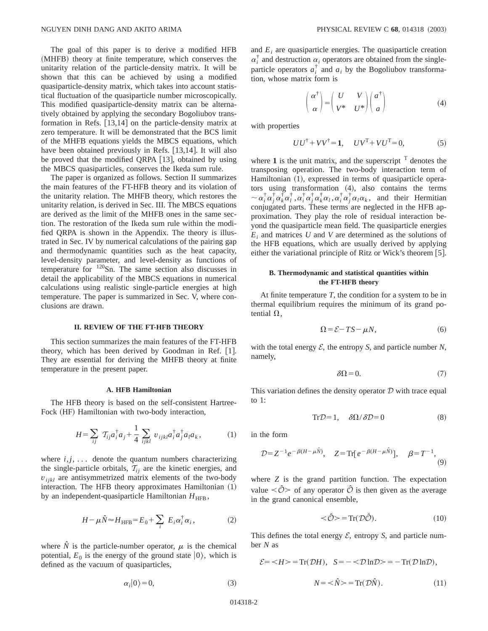The goal of this paper is to derive a modified HFB (MHFB) theory at finite temperature, which conserves the unitarity relation of the particle-density matrix. It will be shown that this can be achieved by using a modified quasiparticle-density matrix, which takes into account statistical fluctuation of the quasiparticle number microscopically. This modified quasiparticle-density matrix can be alternatively obtained by applying the secondary Bogoliubov transformation in Refs.  $[13,14]$  on the particle-density matrix at zero temperature. It will be demonstrated that the BCS limit of the MHFB equations yields the MBCS equations, which have been obtained previously in Refs. [13,14]. It will also be proved that the modified QRPA  $[13]$ , obtained by using the MBCS quasiparticles, conserves the Ikeda sum rule.

The paper is organized as follows. Section II summarizes the main features of the FT-HFB theory and its violation of the unitarity relation. The MHFB theory, which restores the unitarity relation, is derived in Sec. III. The MBCS equations are derived as the limit of the MHFB ones in the same section. The restoration of the Ikeda sum rule within the modified QRPA is shown in the Appendix. The theory is illustrated in Sec. IV by numerical calculations of the pairing gap and thermodynamic quantities such as the heat capacity, level-density parameter, and level-density as functions of temperature for  $120$ Sn. The same section also discusses in detail the applicability of the MBCS equations in numerical calculations using realistic single-particle energies at high temperature. The paper is summarized in Sec. V, where conclusions are drawn.

### **II. REVIEW OF THE FT-HFB THEORY**

This section summarizes the main features of the FT-HFB theory, which has been derived by Goodman in Ref.  $[1]$ . They are essential for deriving the MHFB theory at finite temperature in the present paper.

#### **A. HFB Hamiltonian**

The HFB theory is based on the self-consistent Hartree-Fock (HF) Hamiltonian with two-body interaction,

$$
H = \sum_{ij} \mathcal{T}_{ij} a_i^{\dagger} a_j + \frac{1}{4} \sum_{ijkl} v_{ijkl} a_i^{\dagger} a_j^{\dagger} a_l a_k, \qquad (1)
$$

where  $i, j, \ldots$  denote the quantum numbers characterizing the single-particle orbitals,  $T_{ij}$  are the kinetic energies, and  $v_{ijkl}$  are antisymmetrized matrix elements of the two-body interaction. The HFB theory approximates Hamiltonian  $(1)$ by an independent-quasiparticle Hamiltonian  $H_{\text{HFR}}$ ,

$$
H - \mu \hat{N} \approx H_{\text{HFB}} = E_0 + \sum_i E_i \alpha_i^{\dagger} \alpha_i, \qquad (2)
$$

where  $\hat{N}$  is the particle-number operator,  $\mu$  is the chemical potential,  $E_0$  is the energy of the ground state  $|0\rangle$ , which is defined as the vacuum of quasiparticles,

and *Ei* are quasiparticle energies. The quasiparticle creation  $\alpha_i^{\dagger}$  and destruction  $\alpha_i$  operators are obtained from the singleparticle operators  $a_i^{\dagger}$  and  $a_i$  by the Bogoliubov transformation, whose matrix form is

$$
\begin{pmatrix} \alpha^{\dagger} \\ \alpha \end{pmatrix} = \begin{pmatrix} U & V \\ V^* & U^* \end{pmatrix} \begin{pmatrix} a^{\dagger} \\ a \end{pmatrix}
$$
 (4)

with properties

$$
UU^{\dagger} + VV^{\dagger} = 1, \quad UV^{\mathrm{T}} + VU^{\mathrm{T}} = 0,\tag{5}
$$

where  $\bf{1}$  is the unit matrix, and the superscript  $\rm{T}$  denotes the transposing operation. The two-body interaction term of Hamiltonian (1), expressed in terms of quasiparticle operators using transformation  $(4)$ , also contains the terms  $\sim \alpha_i^{\dagger} \alpha_i^{\dagger} \alpha_i^{\dagger} \alpha_i^{\dagger} \alpha_i^{\dagger} \alpha_i^{\dagger} \alpha_i \alpha_i \alpha_i^{\dagger} \alpha_j^{\dagger} \alpha_i \alpha_k$ , and their Hermitian conjugated parts. These terms are neglected in the HFB approximation. They play the role of residual interaction beyond the quasiparticle mean field. The quasiparticle energies *Ei* and matrices *U* and *V* are determined as the solutions of the HFB equations, which are usually derived by applying either the variational principle of Ritz or Wick's theorem  $[5]$ .

## **B. Thermodynamic and statistical quantities within the FT-HFB theory**

At finite temperature *T*, the condition for a system to be in thermal equilibrium requires the minimum of its grand potential  $\Omega$ .

$$
\Omega = \mathcal{E} - TS - \mu N,\tag{6}
$$

with the total energy  $\mathcal{E}$ , the entropy *S*, and particle number *N*, namely,

$$
\delta\Omega = 0.\t\t(7)
$$

This variation defines the density operator  $D$  with trace equal to 1:

$$
\text{Tr}\mathcal{D} = 1, \quad \delta\Omega/\delta\mathcal{D} = 0 \tag{8}
$$

in the form

$$
\mathcal{D} = Z^{-1} e^{-\beta (H - \mu \hat{N})}, \quad Z = \text{Tr} [e^{-\beta (H - \mu \hat{N})}], \quad \beta = T^{-1}, \tag{9}
$$

where *Z* is the grand partition function. The expectation value  $\langle \hat{O} \rangle$  of any operator  $\hat{O}$  is then given as the average in the grand canonical ensemble,

$$
\langle \hat{\mathcal{O}} \rangle = \text{Tr}(\mathcal{D}\hat{\mathcal{O}}). \tag{10}
$$

This defines the total energy  $\mathcal{E}$ , entropy  $\mathcal{S}$ , and particle number *N* as

$$
\mathcal{E} = \langle H \rangle = \text{Tr}(\mathcal{D}H), \quad \mathcal{S} = -\langle \mathcal{D} \ln \mathcal{D} \rangle = -\text{Tr}(\mathcal{D} \ln \mathcal{D}),
$$

$$
N = \langle \hat{N} \rangle = \text{Tr}(\mathcal{D}\hat{N}). \tag{11}
$$

$$
\alpha_i|0\rangle = 0,\t\t(3)
$$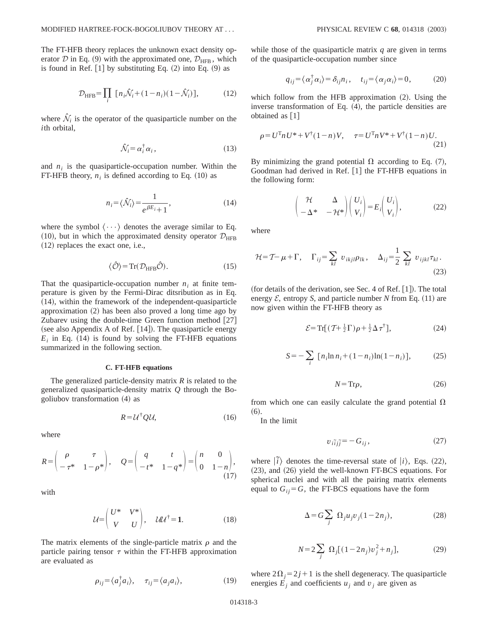The FT-HFB theory replaces the unknown exact density operator D in Eq. (9) with the approximated one,  $\mathcal{D}_{\text{HFR}}$ , which is found in Ref.  $[1]$  by substituting Eq.  $(2)$  into Eq.  $(9)$  as

$$
\mathcal{D}_{\text{HFB}} = \prod_{i} \left[ n_i \hat{\mathcal{N}}_i + (1 - n_i)(1 - \hat{\mathcal{N}}_i) \right],\tag{12}
$$

where  $\hat{N}_i$  is the operator of the quasiparticle number on the *i*th orbital,

$$
\hat{\mathcal{N}}_i = \alpha_i^\dagger \alpha_i \,, \tag{13}
$$

and  $n_i$  is the quasiparticle-occupation number. Within the FT-HFB theory,  $n_i$  is defined according to Eq.  $(10)$  as

$$
n_i = \langle \hat{\mathcal{N}}_i \rangle = \frac{1}{e^{\beta E_i} + 1},\tag{14}
$$

where the symbol  $\langle \cdots \rangle$  denotes the average similar to Eq. (10), but in which the approximated density operator  $\mathcal{D}_{\text{HFB}}$  $(12)$  replaces the exact one, i.e.,

$$
\langle \hat{\mathcal{O}} \rangle = \text{Tr}(\mathcal{D}_{\text{HFB}} \hat{\mathcal{O}}). \tag{15}
$$

That the quasiparticle-occupation number  $n_i$  at finite temperature is given by the Fermi-Dirac ditsribution as in Eq.  $(14)$ , within the framework of the independent-quasiparticle approximation  $(2)$  has been also proved a long time ago by Zubarev using the double-time Green function method  $[27]$ (see also Appendix A of Ref.  $[14]$ ). The quasiparticle energy  $E_i$  in Eq. (14) is found by solving the FT-HFB equations summarized in the following section.

### **C. FT-HFB equations**

The generalized particle-density matrix *R* is related to the generalized quasiparticle-density matrix *Q* through the Bogoliubov transformation  $(4)$  as

$$
R = \mathcal{U}^\dagger \mathcal{Q} \mathcal{U},\tag{16}
$$

where

$$
R = \begin{pmatrix} \rho & \tau \\ -\tau^* & 1 - \rho^* \end{pmatrix}, \quad Q = \begin{pmatrix} q & t \\ -t^* & 1 - q^* \end{pmatrix} = \begin{pmatrix} n & 0 \\ 0 & 1 - n \end{pmatrix}, \tag{17}
$$

with

$$
\mathcal{U} = \begin{pmatrix} U^* & V^* \\ V & U \end{pmatrix}, \quad \mathcal{U}\mathcal{U}^{\dagger} = \mathbf{1}.
$$
 (18)

The matrix elements of the single-particle matrix  $\rho$  and the particle pairing tensor  $\tau$  within the FT-HFB approximation are evaluated as

$$
\rho_{ij} = \langle a_j^{\dagger} a_i \rangle, \quad \tau_{ij} = \langle a_j a_i \rangle, \tag{19}
$$

while those of the quasiparticle matrix *q* are given in terms of the quasiparticle-occupation number since

$$
q_{ij} = \langle \alpha_j^{\dagger} \alpha_i \rangle = \delta_{ij} n_i, \quad t_{ij} = \langle \alpha_j \alpha_i \rangle = 0, \tag{20}
$$

which follow from the HFB approximation  $(2)$ . Using the inverse transformation of Eq.  $(4)$ , the particle densities are obtained as  $\lceil 1 \rceil$ 

$$
\rho = U^{\mathrm{T}} n U^* + V^{\dagger} (1 - n) V, \quad \tau = U^{\mathrm{T}} n V^* + V^{\dagger} (1 - n) U.
$$
\n(21)

By minimizing the grand potential  $\Omega$  according to Eq. (7), Goodman had derived in Ref.  $[1]$  the FT-HFB equations in the following form:

$$
\begin{pmatrix} \mathcal{H} & \Delta \\ -\Delta^* & -\mathcal{H}^* \end{pmatrix} \begin{pmatrix} U_i \\ V_i \end{pmatrix} = E_i \begin{pmatrix} U_i \\ V_i \end{pmatrix},
$$
 (22)

where

$$
\mathcal{H} = \mathcal{T} - \mu + \Gamma, \quad \Gamma_{ij} = \sum_{kl} v_{ikjl} \rho_{lk}, \quad \Delta_{ij} = \frac{1}{2} \sum_{kl} v_{ijkl} \tau_{kl}.
$$
\n(23)

(for details of the derivation, see Sec. 4 of Ref.  $[1]$ ). The total energy  $\mathcal{E}$ , entropy *S*, and particle number *N* from Eq. (11) are now given within the FT-HFB theory as

$$
\mathcal{E} = \operatorname{Tr}[(\mathcal{T} + \frac{1}{2}\Gamma)\rho + \frac{1}{2}\Delta\tau^{\dagger}], \tag{24}
$$

$$
S = -\sum_{i} [n_i \ln n_i + (1 - n_i) \ln(1 - n_i)], \tag{25}
$$

$$
N = \text{Tr}\rho,\tag{26}
$$

from which one can easily calculate the grand potential  $\Omega$  $(6).$ 

In the limit

$$
v_{i\tilde{i}j\tilde{j}} = -G_{ij},\tag{27}
$$

where  $|\tilde{i}\rangle$  denotes the time-reversal state of  $|i\rangle$ , Eqs. (22),  $(23)$ , and  $(26)$  yield the well-known FT-BCS equations. For spherical nuclei and with all the pairing matrix elements equal to  $G_{ij} = G$ , the FT-BCS equations have the form

$$
\Delta = G \sum_{j} \Omega_{j} u_{j} v_{j} (1 - 2n_{j}), \qquad (28)
$$

$$
N = 2\sum_{j} \Omega_{j} [(1 - 2n_{j})v_{j}^{2} + n_{j}], \qquad (29)
$$

where  $2\Omega_i = 2j+1$  is the shell degeneracy. The quasiparticle energies  $E_i$  and coefficients  $u_i$  and  $v_j$  are given as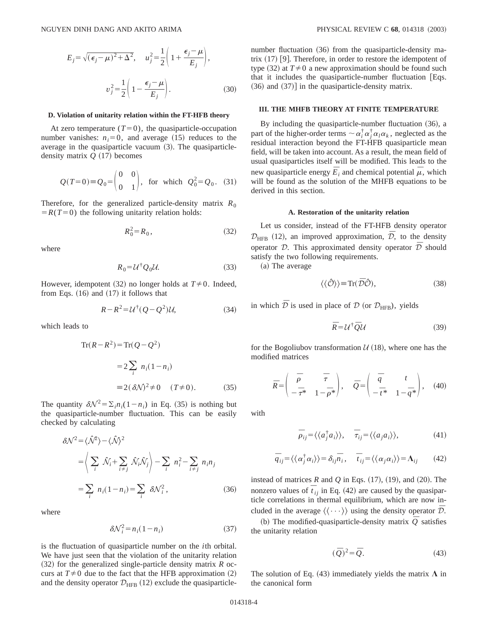$$
E_j = \sqrt{(\epsilon_j - \mu)^2 + \Delta^2}, \quad u_j^2 = \frac{1}{2} \left( 1 + \frac{\epsilon_j - \mu}{E_j} \right),
$$

$$
v_j^2 = \frac{1}{2} \left( 1 - \frac{\epsilon_j - \mu}{E_j} \right).
$$
(30)

#### **D. Violation of unitarity relation within the FT-HFB theory**

At zero temperature  $(T=0)$ , the quasiparticle-occupation number vanishes:  $n_i=0$ , and average  $(15)$  reduces to the average in the quasiparticle vacuum  $(3)$ . The quasiparticledensity matrix  $Q(17)$  becomes

$$
Q(T=0) \equiv Q_0 = \begin{pmatrix} 0 & 0 \\ 0 & 1 \end{pmatrix}
$$
, for which  $Q_0^2 = Q_0$ . (31)

Therefore, for the generalized particle-density matrix  $R_0$  $= R(T=0)$  the following unitarity relation holds:

$$
R_0^2 = R_0, \t\t(32)
$$

where

$$
R_0 = \mathcal{U}^\dagger \mathcal{Q}_0 \mathcal{U}.\tag{33}
$$

However, idempotent  $(32)$  no longer holds at  $T \neq 0$ . Indeed, from Eqs.  $(16)$  and  $(17)$  it follows that

$$
R - R^2 = \mathcal{U}^\dagger (Q - Q^2) \mathcal{U},\tag{34}
$$

which leads to

$$
\operatorname{Tr}(R - R^2) = \operatorname{Tr}(Q - Q^2)
$$

$$
= 2 \sum_{i} n_i (1 - n_i)
$$

$$
= 2(\delta \mathcal{N})^2 \neq 0 \quad (T \neq 0).
$$
(35)

The quantity  $\delta \mathcal{N}^2 = \sum_i n_i (1 - n_i)$  in Eq. (35) is nothing but the quasiparticle-number fluctuation. This can be easily checked by calculating

$$
\delta \mathcal{N}^2 = \langle \hat{\mathcal{N}}^2 \rangle - \langle \hat{\mathcal{N}} \rangle^2
$$
  
=  $\langle \sum_i \hat{\mathcal{N}}_i + \sum_{i \neq j} \hat{\mathcal{N}}_i \hat{\mathcal{N}}_j \rangle - \sum_i n_i^2 - \sum_{i \neq j} n_i n_j$   
=  $\sum_i n_i (1 - n_i) = \sum_i \delta \mathcal{N}_i^2$ , (36)

where

$$
\delta \mathcal{N}_i^2 = n_i (1 - n_i) \tag{37}
$$

is the fluctuation of quasiparticle number on the *i*th orbital. We have just seen that the violation of the unitarity relation  $(32)$  for the generalized single-particle density matrix *R* occurs at  $T\neq 0$  due to the fact that the HFB approximation (2) and the density operator  $\mathcal{D}_{\text{HFB}}$  (12) exclude the quasiparticlenumber fluctuation  $(36)$  from the quasiparticle-density matrix  $(17)$  [9]. Therefore, in order to restore the idempotent of type  $(32)$  at  $T \neq 0$  a new approximation should be found such that it includes the quasiparticle-number fluctuation  $[Eqs.$  $(36)$  and  $(37)$ ] in the quasiparticle-density matrix.

### **III. THE MHFB THEORY AT FINITE TEMPERATURE**

By including the quasiparticle-number fluctuation  $(36)$ , a part of the higher-order terms  $\sim \alpha_i^{\dagger} \alpha_j^{\dagger} \alpha_l \alpha_k$ , neglected as the residual interaction beyond the FT-HFB quasiparticle mean field, will be taken into account. As a result, the mean field of usual quasiparticles itself will be modified. This leads to the new quasiparticle energy  $\bar{E}_i$  and chemical potential  $\bar{\mu}$ , which will be found as the solution of the MHFB equations to be derived in this section.

### **A. Restoration of the unitarity relation**

Let us consider, instead of the FT-HFB density operator  $\mathcal{D}_{\text{HFB}}$  (12), an improved approximation,  $\bar{\mathcal{D}}$ , to the density operator  $D$ . This approximated density operator  $\overline{D}$  should satisfy the two following requirements.

(a) The average

$$
\langle \langle \hat{\mathcal{O}} \rangle \rangle \equiv \text{Tr}(\bar{\mathcal{D}}\hat{\mathcal{O}}),\tag{38}
$$

in which  $\bar{D}$  is used in place of  $D$  (or  $D_{\text{HFB}}$ ), yields

$$
\bar{R} = U^{\dagger} \bar{Q} U \tag{39}
$$

for the Bogoliubov transformation  $U(18)$ , where one has the modified matrices

$$
\bar{R} = \begin{pmatrix} \bar{\rho} & \bar{\tau} \\ -\bar{\tau}^* & 1 - \bar{\rho}^* \end{pmatrix}, \quad \bar{Q} = \begin{pmatrix} \bar{q} & t \\ -\bar{t}^* & 1 - \bar{q}^* \end{pmatrix}, \quad (40)
$$

with

$$
\overline{\rho}_{ij} = \langle \langle a_j^{\dagger} a_i \rangle \rangle, \quad \overline{\tau}_{ij} = \langle \langle a_j a_i \rangle \rangle, \tag{41}
$$

$$
\overline{q}_{ij} = \langle \langle \alpha_j^{\dagger} \alpha_i \rangle \rangle = \delta_{ij} \overline{n}_i, \quad \overline{t}_{ij} = \langle \langle \alpha_j \alpha_i \rangle \rangle = \Lambda_{ij} \tag{42}
$$

instead of matrices  $R$  and  $Q$  in Eqs.  $(17)$ ,  $(19)$ , and  $(20)$ . The nonzero values of  $\overline{t}_{ij}$  in Eq. (42) are caused by the quasiparticle correlations in thermal equilibrium, which are now included in the average  $\langle \langle \cdots \rangle \rangle$  using the density operator  $\bar{\mathcal{D}}$ .

(b) The modified-quasiparticle-density matrix  $\overline{Q}$  satisfies the unitarity relation

$$
(\bar{Q})^2 = \bar{Q}.
$$
 (43)

The solution of Eq. (43) immediately yields the matrix  $\Lambda$  in the canonical form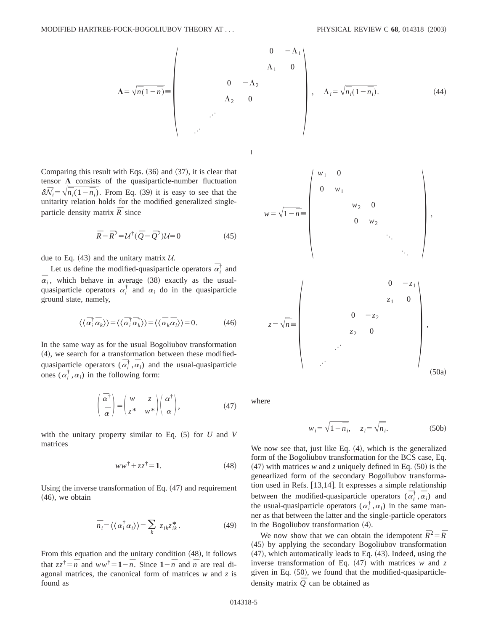$$
\Lambda = \sqrt{\overline{n}(1-\overline{n})} = \begin{pmatrix} 0 & -\Lambda_1 \\ \Lambda_1 & 0 \\ 0 & -\Lambda_2 \\ \Lambda_2 & 0 \end{pmatrix}, \quad \Lambda_i = \sqrt{\overline{n}_i(1-\overline{n}_i)}. \tag{44}
$$

Comparing this result with Eqs.  $(36)$  and  $(37)$ , it is clear that tensor  $\Lambda$  consists of the quasiparticle-number fluctuation  $\delta \bar{N}_i = \sqrt{\bar{n}_i(1-\bar{n}_i)}$ . From Eq. (39) it is easy to see that the unitarity relation holds for the modified generalized singleparticle density matrix  $\overline{R}$  since

$$
\overline{R} - \overline{R}^2 = \mathcal{U}^\dagger (\overline{Q} - \overline{Q}^2) \mathcal{U} = 0 \tag{45}
$$

due to Eq.  $(43)$  and the unitary matrix U.

Let us define the modified-quasiparticle operators  $\vec{\alpha}_i^{\dagger}$  and  $\overline{\alpha}_i$ , which behave in average (38) exactly as the usualquasiparticle operators  $\alpha_i^{\dagger}$  and  $\alpha_i$  do in the quasiparticle ground state, namely,

$$
\langle \langle \bar{\alpha}_i^{\dagger} \bar{\alpha}_k \rangle \rangle = \langle \langle \bar{\alpha}_i^{\dagger} \bar{\alpha}_k^{\dagger} \rangle \rangle = \langle \langle \bar{\alpha}_k \bar{\alpha}_i \rangle \rangle = 0. \tag{46}
$$

In the same way as for the usual Bogoliubov transformation  $(4)$ , we search for a transformation between these modifiedquasiparticle operators  $(\overline{\alpha}_i^{\dagger}, \overline{\alpha}_i)$  and the usual-quasiparticle ones  $(\alpha_i^{\dagger}, \alpha_i)$  in the following form:

$$
\left(\begin{array}{c}\n\overline{\alpha}^{\dagger} \\
\overline{\alpha}\n\end{array}\right) = \left(\begin{array}{cc} w & z \\
z^* & w^* \end{array}\right) \left(\begin{array}{c}\n\alpha^{\dagger} \\
\alpha\n\end{array}\right),\tag{47}
$$

with the unitary property similar to Eq.  $(5)$  for *U* and *V* matrices

$$
ww^{\dagger} + zz^{\dagger} = 1.
$$
 (48)

Using the inverse transformation of Eq.  $(47)$  and requirement  $(46)$ , we obtain

$$
\overline{n}_i = \langle \langle \alpha_i^{\dagger} \alpha_i \rangle \rangle = \sum_k z_{ik} z_{ik}^* . \tag{49}
$$

From this equation and the unitary condition  $(48)$ , it follows that  $zz^{\dagger} = \overline{n}$  and  $ww^{\dagger} = 1 - \overline{n}$ . Since  $1 - \overline{n}$  and  $\overline{n}$  are real diagonal matrices, the canonical form of matrices *w* and *z* is found as



where

$$
w_i = \sqrt{1 - \overline{n}_i}, \quad z_i = \sqrt{\overline{n}_i}.
$$
 (50b)

We now see that, just like Eq.  $(4)$ , which is the generalized form of the Bogoliubov transformation for the BCS case, Eq.  $(47)$  with matrices *w* and *z* uniquely defined in Eq.  $(50)$  is the genearlized form of the secondary Bogoliubov transformation used in Refs.  $[13,14]$ . It expresses a simple relationship between the modified-quasiparticle operators  $(\vec{\alpha}^{\dagger}_i, \vec{\alpha}_i)$  and the usual-quasiparticle operators  $(\alpha_i^{\dagger}, \alpha_i)$  in the same manner as that between the latter and the single-particle operators in the Bogoliubov transformation  $(4)$ .

We now show that we can obtain the idempotent  $\bar{R}^2 = \bar{R}$  $(45)$  by applying the secondary Bogoliubov transformation  $(47)$ , which automatically leads to Eq.  $(43)$ . Indeed, using the inverse transformation of Eq.  $(47)$  with matrices *w* and *z* given in Eq.  $(50)$ , we found that the modified-quasiparticledensity matrix  $\overline{Q}$  can be obtained as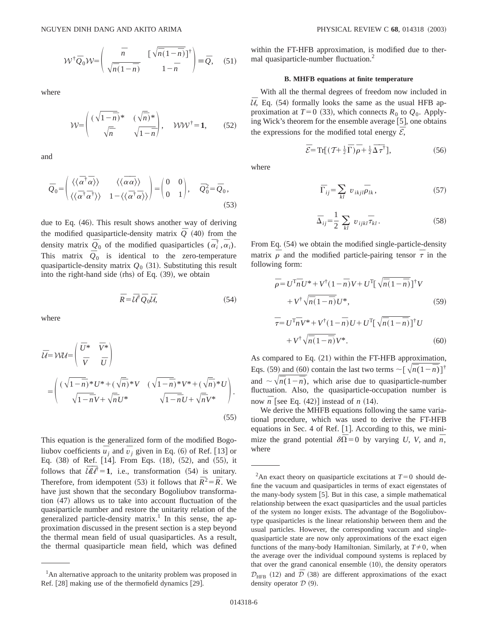$$
\mathcal{W}^{\dagger} \bar{\mathcal{Q}}_0 \mathcal{W} = \begin{pmatrix} \bar{n} & \left[ \sqrt{\bar{n}(1-\bar{n})} \right]^{\dagger} \\ \sqrt{\bar{n}(1-\bar{n})} & 1-\bar{n} \end{pmatrix} \equiv \bar{\mathcal{Q}}, \quad (51)
$$

where

$$
\mathcal{W} = \begin{pmatrix} (\sqrt{1-\bar{n}})^* & (\sqrt{\bar{n}})^* \\ \sqrt{\bar{n}} & \sqrt{1-\bar{n}} \end{pmatrix}, \quad \mathcal{W}\mathcal{W}^{\dagger} = \mathbf{1}, \qquad (52)
$$

and

$$
\bar{Q}_0 = \begin{pmatrix} \langle \langle \bar{\alpha}^{\dagger} \bar{\alpha} \rangle \rangle & \langle \langle \bar{\alpha} \bar{\alpha} \rangle \rangle \\ \langle \langle \bar{\alpha}^{\dagger} \bar{\alpha}^{\dagger} \rangle \rangle & 1 - \langle \langle \bar{\alpha}^{\dagger} \bar{\alpha} \rangle \rangle \end{pmatrix} = \begin{pmatrix} 0 & 0 \\ 0 & 1 \end{pmatrix}, \quad \bar{Q}_0^2 = \bar{Q}_0,
$$
\n(53)

due to Eq. (46). This result shows another way of deriving the modified quasiparticle-density matrix  $\overline{Q}$  (40) from the density matrix  $\overline{Q}_0$  of the modified quasiparticles  $(\overline{\alpha}_i^{\dagger}, \overline{\alpha}_i)$ . This matrix  $\overline{Q}_0$  is identical to the zero-temperature quasiparticle-density matrix  $Q_0$  (31). Substituting this result into the right-hand side  $(rhs)$  of Eq.  $(39)$ , we obtain

$$
\bar{R} = \bar{U}^{\dagger} \bar{Q}_0 \bar{U},\tag{54}
$$

where

$$
\bar{U} = VVL = \begin{pmatrix} \bar{U}^* & \bar{V}^* \\ \bar{V} & \bar{U} \end{pmatrix}
$$

$$
= \begin{pmatrix} (\sqrt{1-\bar{n}})^* U^* + (\sqrt{\bar{n}})^* V & (\sqrt{1-\bar{n}})^* V^* + (\sqrt{\bar{n}})^* U \\ \sqrt{1-\bar{n}} V + \sqrt{\bar{n}} U^* & \sqrt{1-\bar{n}} U + \sqrt{\bar{n}} V^* \end{pmatrix}.
$$
\n(55)

This equation is the generalized form of the modified Bogoliubov coefficients  $\overline{u}_j$  and  $\overline{v}_j$  given in Eq. (6) of Ref. [13] or Eq.  $(38)$  of Ref. [14]. From Eqs.  $(18)$ ,  $(52)$ , and  $(55)$ , it follows that  $\overline{U}\overline{U}^{\dagger} = 1$ , i.e., transformation (54) is unitary. Therefore, from idempotent (53) it follows that  $\bar{R}^2 = \bar{R}$ . We have just shown that the secondary Bogoliubov transformation  $(47)$  allows us to take into account fluctuation of the quasiparticle number and restore the unitarity relation of the generalized particle-density matrix.<sup>1</sup> In this sense, the approximation discussed in the present section is a step beyond the thermal mean field of usual quasiparticles. As a result, the thermal quasiparticle mean field, which was defined within the FT-HFB approximation, is modified due to thermal quasiparticle-number fluctuation.<sup>2</sup>

### **B. MHFB equations at finite temperature**

With all the thermal degrees of freedom now included in  $U$ , Eq.  $(54)$  formally looks the same as the usual HFB approximation at  $T=0$  (33), which connects  $R_0$  to  $Q_0$ . Applying Wick's theorem for the ensemble average  $[5]$ , one obtains the expressions for the modified total energy  $\bar{\mathcal{E}}$ ,

$$
\overline{\mathcal{E}} = \operatorname{Tr}[(\mathcal{T} + \frac{1}{2}\overline{\Gamma})\overline{\rho} + \frac{1}{2}\overline{\Delta}\overline{\tau}^{\dagger}], \tag{56}
$$

where

$$
\overline{\Gamma}_{ij} = \sum_{kl} v_{ikjl} \overline{\rho}_{lk}, \qquad (57)
$$

$$
\overline{\Delta}_{ij} = \frac{1}{2} \sum_{kl} v_{ijkl} \overline{\tau}_{kl} .
$$
 (58)

From Eq. (54) we obtain the modified single-particle-density matrix  $\overline{\rho}$  and the modified particle-pairing tensor  $\overline{\tau}$  in the following form:

$$
\overline{\rho} = U^{\mathrm{T}} \overline{n} U^* + V^{\dagger} (1 - \overline{n}) V + U^{\mathrm{T}} \left[ \sqrt{\overline{n} (1 - \overline{n})} \right]^{\dagger} V \n+ V^{\dagger} \sqrt{\overline{n} (1 - \overline{n})} U^*,
$$
\n(59)

$$
\overline{\tau} = U^{\mathrm{T}} \overline{n} V^* + V^{\dagger} (1 - \overline{n}) U + U^{\mathrm{T}} \left[ \sqrt{\overline{n} (1 - \overline{n})} \right]^{\dagger} U \n+ V^{\dagger} \sqrt{\overline{n} (1 - \overline{n})} V^*.
$$
\n(60)

As compared to Eq.  $(21)$  within the FT-HFB approximation, Eqs. (59) and (60) contain the last two terms  $\sim \left[\sqrt{\overline{n}(1-\overline{n})}\right]^{\dagger}$ and  $\sim \sqrt{\overline{n}(1-\overline{n})}$ , which arise due to quasiparticle-number fluctuation. Also, the quasiparticle-occupation number is now  $\overline{n}$  [see Eq. (42)] instead of *n* (14).

We derive the MHFB equations following the same variational procedure, which was used to derive the FT-HFB equations in Sec. 4 of Ref.  $[1]$ . According to this, we minimize the grand potential  $\delta\overline{\Omega} = 0$  by varying *U*, *V*, and  $\overline{n}$ , where

<sup>&</sup>lt;sup>1</sup>An alternative approach to the unitarity problem was proposed in Ref.  $[28]$  making use of the thermofield dynamics  $[29]$ .

<sup>&</sup>lt;sup>2</sup>An exact theory on quasiparticle excitations at  $T=0$  should define the vacuum and quasiparticles in terms of exact eigenstates of the many-body system [5]. But in this case, a simple mathematical relationship between the exact quasiparticles and the usual particles of the system no longer exists. The advantage of the Bogoliubovtype quasiparticles is the linear relationship between them and the usual particles. However, the corresponding vaccum and singlequasiparticle state are now only approximations of the exact eigen functions of the many-body Hamiltonian. Similarly, at  $T\neq 0$ , when the average over the individual compound systems is replaced by that over the grand canonical ensemble  $(10)$ , the density operators  $\mathcal{D}_{\text{HFB}}$  (12) and  $\bar{\mathcal{D}}$  (38) are different approximations of the exact density operator  $D (9)$ .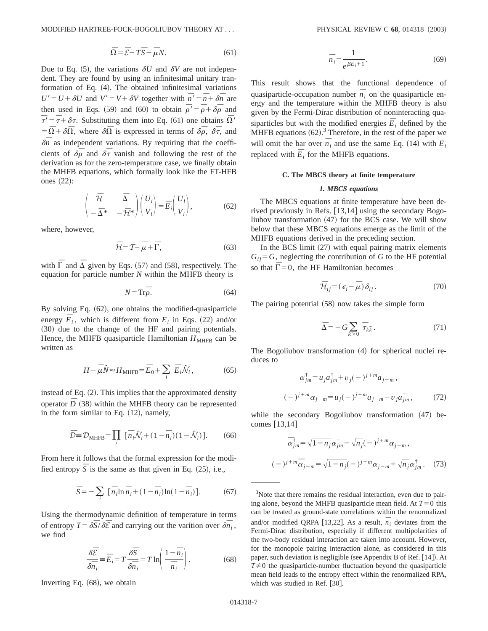$$
\overline{\Omega} = \overline{\mathcal{E}} - T\overline{S} - \overline{\mu}N. \tag{61}
$$

Due to Eq.  $(5)$ , the variations  $\delta U$  and  $\delta V$  are not independent. They are found by using an infinitesimal unitary tranformation of Eq.  $(4)$ . The obtained infinitesimal variations  $U' = U + \delta U$  and  $V' = V + \delta V$  together with  $\overline{n}' = \overline{n} + \delta \overline{n}$  are then used in Eqs. (59) and (60) to obtain  $\overline{\rho}' = \overline{\rho} + \delta \overline{\rho}$  and  $\overline{\tau} = \overline{\tau} + \delta \tau$ . Substituting them into Eq. (61) one obtains  $\overline{\Omega}$ '  $= \overline{\Omega} + \delta \overline{\Omega}$ , where  $\delta \overline{\Omega}$  is expressed in terms of  $\delta \overline{\rho}$ ,  $\delta \overline{\tau}$ , and  $\delta \bar{n}$  as independent variations. By requiring that the coefficients of  $\delta \bar{\rho}$  and  $\delta \bar{\tau}$  vanish and following the rest of the derivation as for the zero-temperature case, we finally obtain the MHFB equations, which formally look like the FT-HFB ones  $(22)$ :

$$
\begin{pmatrix} \overline{\mathcal{H}} & \overline{\Delta} \\ -\overline{\Delta}^* & -\overline{\mathcal{H}}^* \end{pmatrix} \begin{pmatrix} U_i \\ V_i \end{pmatrix} = \overline{E}_i \begin{pmatrix} U_i \\ V_i \end{pmatrix}, \tag{62}
$$

where, however,

$$
\bar{\mathcal{H}} = \mathcal{T} - \bar{\mu} + \Gamma,\tag{63}
$$

with  $\overline{\Gamma}$  and  $\overline{\Delta}$  given by Eqs. (57) and (58), respectively. The equation for particle number *N* within the MHFB theory is

$$
N = \text{Tr}\overline{\rho}.\tag{64}
$$

By solving Eq.  $(62)$ , one obtains the modified-quasiparticle energy  $\overline{E}_i$ , which is different from  $E_i$  in Eqs. (22) and/or (30) due to the change of the HF and pairing potentials. Hence, the MHFB quasiparticle Hamiltonian  $H_{\text{MHFB}}$  can be written as

$$
H - \overline{\mu}\hat{N} \approx H_{\text{MHFB}} = \overline{E}_0 + \sum_i \overline{E}_i \hat{\mathcal{N}}_i, \qquad (65)
$$

instead of Eq.  $(2)$ . This implies that the approximated density operator  $\bar{D}$  (38) within the MHFB theory can be represented in the form similar to Eq.  $(12)$ , namely,

$$
\overline{\mathcal{D}} \equiv \mathcal{D}_{\text{MHFB}} = \prod_{i} \left[ \overline{n}_i \hat{\mathcal{N}}_i + (1 - \overline{n}_i)(1 - \hat{\mathcal{N}}_i) \right]. \tag{66}
$$

From here it follows that the formal expression for the modified entropy  $\overline{S}$  is the same as that given in Eq. (25), i.e.,

$$
\overline{S} = -\sum_{i} \left[ \overline{n}_{i} \ln \overline{n}_{i} + (1 - \overline{n}_{i}) \ln(1 - \overline{n}_{i}) \right]. \tag{67}
$$

Using the thermodynamic definition of temperature in terms of entropy  $T = \delta \overline{S}/\delta \overline{E}$  and carrying out the varition over  $\delta \overline{n_i}$ , we find

$$
\frac{\delta \bar{\mathcal{E}}}{\delta \bar{n}_i} = \bar{E}_i = T \frac{\delta \bar{S}}{\delta \bar{n}_i} = T \ln \left( \frac{1 - \bar{n}_i}{\bar{n}_i} \right). \tag{68}
$$

Inverting Eq.  $(68)$ , we obtain

$$
\overline{n}_i = \frac{1}{e^{\beta \overline{E}_i + 1}}.\tag{69}
$$

This result shows that the functional dependence of quasiparticle-occupation number  $\overline{n}_i$  on the quasiparticle energy and the temperature within the MHFB theory is also given by the Fermi-Dirac distribution of noninteracting quasiparticles but with the modified energies  $\overline{E}_i$  defined by the MHFB equations  $(62)$ .<sup>3</sup> Therefore, in the rest of the paper we will omit the bar over  $\overline{n}_i$  and use the same Eq. (14) with  $E_i$ replaced with  $\overline{E}_i$  for the MHFB equations.

## **C. The MBCS theory at finite temperature**

### *1. MBCS equations*

The MBCS equations at finite temperature have been derived previously in Refs.  $[13,14]$  using the secondary Bogoliubov transformation  $(47)$  for the BCS case. We will show below that these MBCS equations emerge as the limit of the MHFB equations derived in the preceding section.

In the BCS limit  $(27)$  with equal pairing matrix elements  $G_{ij} = G$ , neglecting the contribution of *G* to the HF potential so that  $\Gamma = 0$ , the HF Hamiltonian becomes

$$
\bar{\mathcal{H}}_{ij} = (\epsilon_i - \bar{\mu}) \, \delta_{ij} \,. \tag{70}
$$

The pairing potential  $(58)$  now takes the simple form

$$
\bar{\Delta} = -G \sum_{k>0} \bar{\tau}_{k\tilde{k}}.
$$
\n(71)

The Bogoliubov transformation  $(4)$  for spherical nuclei reduces to

$$
\alpha_{jm}^{\dagger} = u_j a_{jm}^{\dagger} + v_j (-j^{j+m} a_{j-m},
$$
  

$$
(-j^{j+m} \alpha_{j-m} = u_j (-j^{j+m} a_{j-m} - v_j a_{jm}^{\dagger},
$$
 (72)

while the secondary Bogoliubov transformation  $(47)$  becomes  $[13,14]$ 

$$
\bar{\alpha}_{jm}^{\dagger} = \sqrt{1 - n_j} \alpha_{jm}^{\dagger} - \sqrt{n_j} (-1)^{j + m} \alpha_{j - m},
$$
  

$$
(-1)^{j + m} \bar{\alpha}_{j - m} = \sqrt{1 - n_j} (-1)^{j + m} \alpha_{j - m} + \sqrt{n_j} \alpha_{jm}^{\dagger}. \tag{73}
$$

<sup>3</sup>Note that there remains the residual interaction, even due to pairing alone, beyond the MHFB quasiparticle mean field. At  $T=0$  this can be treated as ground-state correlations within the renormalized and/or modified QRPA [13,22]. As a result,  $\overline{n}_i$  deviates from the Fermi-Dirac distribution, especially if different multipolarities of the two-body residual interaction are taken into account. However, for the monopole pairing interaction alone, as considered in this paper, such deviation is negligible (see Appendix B of Ref.  $[14]$ ). At  $T\neq 0$  the quasiparticle-number fluctuation beyond the quasiparticle mean field leads to the entropy effect within the renormalized RPA, which was studied in Ref. [30].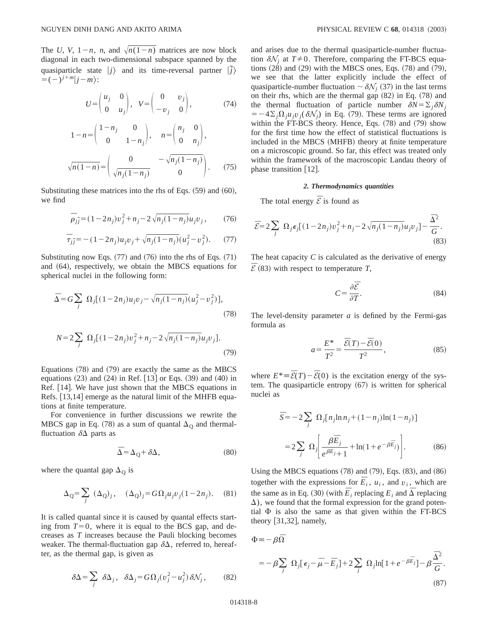The *U*, *V*,  $1 - n$ , *n*, and  $\sqrt{n(1 - n)}$  matrices are now block diagonal in each two-dimensional subspace spanned by the quasiparticle state  $|j\rangle$  and its time-reversal partner  $|\tilde{j}\rangle$  $= (-)^{j+m}$  $j-m$  $:$ 

$$
U = \begin{pmatrix} u_j & 0 \\ 0 & u_j \end{pmatrix}, \quad V = \begin{pmatrix} 0 & v_j \\ -v_j & 0 \end{pmatrix}, \tag{74}
$$

$$
1 - n = {1 - n_j \t 0 \t 1 - n_j}, \t n = {n_j \t 0 \t 0 \t n_j},
$$
  

$$
\sqrt{n(1 - n)} = {0 \t 0 \t - \sqrt{n_j(1 - n_j)} \t 0}.
$$
 (75)

Substituting these matrices into the rhs of Eqs.  $(59)$  and  $(60)$ , we find

$$
\bar{\rho}_{j\tilde{j}} = (1 - 2n_j)v_j^2 + n_j - 2\sqrt{n_j(1 - n_j)}u_jv_j, \qquad (76)
$$

$$
\overline{\tau}_{j\overline{j}} = -(1 - 2n_j)u_j v_j + \sqrt{n_j(1 - n_j)}(u_j^2 - v_j^2). \tag{77}
$$

Substituting now Eqs.  $(77)$  and  $(76)$  into the rhs of Eqs.  $(71)$ and  $(64)$ , respectively, we obtain the MBCS equations for spherical nuclei in the following form:

$$
\bar{\Delta} = G \sum_{j} \Omega_{j} [(1 - 2n_{j})u_{j}v_{j} - \sqrt{n_{j}(1 - n_{j})}(u_{j}^{2} - v_{j}^{2})],
$$
\n(78)

$$
N = 2\sum_{j} \Omega_{j}[(1 - 2n_{j})v_{j}^{2} + n_{j} - 2\sqrt{n_{j}(1 - n_{j})}u_{j}v_{j}].
$$
\n(79)

Equations  $(78)$  and  $(79)$  are exactly the same as the MBCS equations  $(23)$  and  $(24)$  in Ref. [13] or Eqs.  $(39)$  and  $(40)$  in Ref. [14]. We have just shown that the MBCS equations in Refs.  $[13,14]$  emerge as the natural limit of the MHFB equations at finite temperature.

For convenience in further discussions we rewrite the MBCS gap in Eq. (78) as a sum of quantal  $\Delta_{\Omega}$  and thermalfluctuation  $\delta\Delta$  parts as

$$
\overline{\Delta} = \Delta_{\mathbf{Q}} + \delta \Delta, \tag{80}
$$

where the quantal gap  $\Delta_{\text{O}}$  is

$$
\Delta_{\mathbf{Q}} = \sum_{j} (\Delta_{\mathbf{Q}})_{j}, \quad (\Delta_{\mathbf{Q}})_{j} = G\Omega_{j}u_{j}v_{j}(1 - 2n_{j}). \quad (81)
$$

It is called quantal since it is caused by quantal effects starting from  $T=0$ , where it is equal to the BCS gap, and decreases as *T* increases because the Pauli blocking becomes weaker. The thermal-fluctuation gap  $\delta\Delta$ , referred to, hereafter, as the thermal gap, is given as

$$
\delta \Delta = \sum_{j} \delta \Delta_{j}, \quad \delta \Delta_{j} = G \Omega_{j} (v_{j}^{2} - u_{j}^{2}) \delta \mathcal{N}_{j}, \quad (82)
$$

and arises due to the thermal quasiparticle-number fluctuation  $\delta N_i$  at  $T \neq 0$ . Therefore, comparing the FT-BCS equations  $(28)$  and  $(29)$  with the MBCS ones, Eqs.  $(78)$  and  $(79)$ , we see that the latter explicitly include the effect of quasiparticle-number fluctuation  $\sim \delta \mathcal{N}_i$  (37) in the last terms on their rhs, which are the thermal gap  $(82)$  in Eq.  $(78)$  and the thermal fluctuation of particle number  $\delta N = \sum_i \delta N_i$  $=$  -4 $\sum_i \Omega_i u_i v_i (\delta N_i)$  in Eq. (79). These terms are ignored within the FT-BCS theory. Hence, Eqs.  $(78)$  and  $(79)$  show for the first time how the effect of statistical fluctuations is included in the MBCS (MHFB) theory at finite temperature on a microscopic ground. So far, this effect was treated only within the framework of the macroscopic Landau theory of phase transition  $\lceil 12 \rceil$ .

#### *2. Thermodynamics quantities*

The total energy  $\overline{\mathcal{E}}$  is found as

$$
\overline{\mathcal{E}} = 2 \sum_{j} \Omega_j \epsilon_j [(1 - 2n_j)v_j^2 + n_j - 2\sqrt{n_j(1 - n_j)}u_jv_j] - \frac{\overline{\Delta}^2}{G}.
$$
\n(83)

The heat capacity *C* is calculated as the derivative of energy  $\overline{\mathcal{E}}$  (83) with respect to temperature *T*,

$$
C = \frac{\partial \overline{\mathcal{E}}}{\partial T}.\tag{84}
$$

The level-density parameter *a* is defined by the Fermi-gas formula as

$$
a = \frac{E^*}{T^2} = \frac{\bar{\mathcal{E}}(T) - \bar{\mathcal{E}}(0)}{T^2},
$$
\n(85)

where  $E^* = \overline{\mathcal{E}}(T) - \overline{\mathcal{E}}(0)$  is the excitation energy of the system. The quasiparticle entropy  $(67)$  is written for spherical nuclei as

$$
\overline{S} = -2 \sum_{j} \Omega_{j} [n_{j} \ln n_{j} + (1 - n_{j}) \ln(1 - n_{j})]
$$
  
= 2 \sum\_{j} \Omega\_{j} \left[ \frac{\beta \overline{E}\_{j}}{e^{\beta \overline{E}\_{j}} + 1} + \ln(1 + e^{-\beta \overline{E}\_{j}}) \right]. \tag{86}

Using the MBCS equations  $(78)$  and  $(79)$ , Eqs.  $(83)$ , and  $(86)$ together with the expressions for  $\overline{E}_i$ ,  $u_i$ , and  $v_i$ , which are the same as in Eq. (30) (with  $\overline{E}_i$  replacing  $E_i$  and  $\overline{\Delta}$  replacing  $\Delta$ ), we found that the formal expression for the grand potential  $\Phi$  is also the same as that given within the FT-BCS theory  $[31,32]$ , namely,

$$
\Phi = -\beta \overline{\Omega}
$$
  
=  $-\beta \sum_{j} \Omega_{j} [\epsilon_{j} - \overline{\mu} - \overline{E}_{j}] + 2 \sum_{j} \Omega_{j} \ln[1 + e^{-\beta \overline{E}_{j}}] - \beta \frac{\overline{\Delta}^{2}}{G}.$  (87)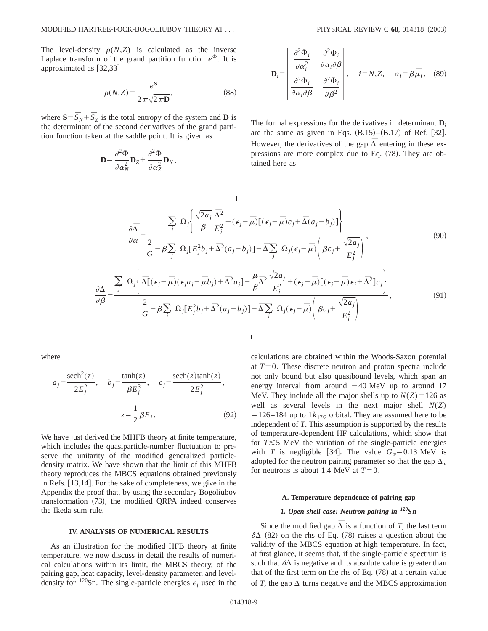The level-density  $\rho(N,Z)$  is calculated as the inverse Laplace transform of the grand partition function  $e^{\Phi}$ . It is approximated as  $\left[32,33\right]$ 

$$
\rho(N,Z) = \frac{e^{\mathbf{S}}}{2\pi\sqrt{2\pi\mathbf{D}}},\tag{88}
$$

where  $S = \overline{S}_N + \overline{S}_Z$  is the total entropy of the system and **D** is the determinant of the second derivatives of the grand partition function taken at the saddle point. It is given as

$$
\mathbf{D} = \frac{\partial^2 \Phi}{\partial \alpha_N^2} \mathbf{D}_Z + \frac{\partial^2 \Phi}{\partial \alpha_Z^2} \mathbf{D}_N,
$$

$$
\mathbf{D}_{i} = \begin{bmatrix} \frac{\partial^{2} \Phi_{i}}{\partial \alpha_{i}^{2}} & \frac{\partial^{2} \Phi_{i}}{\partial \alpha_{i} \partial \beta} \\ \frac{\partial^{2} \Phi_{i}}{\partial \alpha_{i} \partial \beta} & \frac{\partial^{2} \Phi_{i}}{\partial \beta^{2}} \end{bmatrix}, \quad i = N, Z, \quad \alpha_{i} = \beta \overline{\mu}_{i}. \quad (89)
$$

The formal expressions for the derivatives in determinant  $\mathbf{D}_i$ are the same as given in Eqs.  $(B.15)$ – $(B.17)$  of Ref. [32]. However, the derivatives of the gap  $\overline{\Delta}$  entering in these expressions are more complex due to Eq.  $(78)$ . They are obtained here as

$$
\frac{\partial \overline{\Delta}}{\partial \alpha} = \frac{\sum_{j} \Omega_{j} \left\{ \frac{\sqrt{2a_{j}}}{\beta} \frac{\overline{\Delta}^{2}}{E_{j}^{2}} - (\epsilon_{j} - \overline{\mu}) [(\epsilon_{j} - \overline{\mu}) c_{j} + \overline{\Delta}(a_{j} - b_{j})] \right\}}{\frac{2}{G} - \beta \sum_{j} \Omega_{j} [E_{j}^{2} b_{j} + \overline{\Delta}^{2} (a_{j} - b_{j})] - \overline{\Delta} \sum_{j} \Omega_{j} (\epsilon_{j} - \overline{\mu}) \left( \beta c_{j} + \frac{\sqrt{2a_{j}}}{E_{j}^{2}} \right)},
$$
\n
$$
\frac{\partial \overline{\Delta}}{\partial \alpha} = \frac{\sum_{j} \Omega_{j} \left\{ \overline{\Delta} [(\epsilon_{j} - \overline{\mu}) (\epsilon_{j} a_{j} - \overline{\mu} b_{j}) + \overline{\Delta}^{2} a_{j}] - \frac{\overline{\mu}}{\beta} \overline{\Delta}^{2} \frac{\sqrt{2a_{j}}}{E_{j}^{2}} + (\epsilon_{j} - \overline{\mu}) [(\epsilon_{j} - \overline{\mu}) \epsilon_{j} + \overline{\Delta}^{2} ] c_{j} \right\}}{(\Theta(1))}
$$
\n(90)

$$
\overline{\partial \beta} = \frac{2}{\overline{G} - \beta \sum_{j} \Omega_{j} [E_{j}^{2} b_{j} + \overline{\Delta}^{2} (a_{j} - b_{j})] - \overline{\Delta} \sum_{j} \Omega_{j} (\epsilon_{j} - \overline{\mu}) \left( \beta c_{j} + \frac{\sqrt{2} a_{j}}{E_{j}^{2}} \right)},
$$
(91)

where

$$
a_j = \frac{\text{sech}^2(z)}{2E_j^2}, \quad b_j = \frac{\tanh(z)}{\beta E_j^3}, \quad c_j = \frac{\text{sech}(z)\tanh(z)}{2E_j^2},
$$

$$
z = \frac{1}{2}\beta E_j.
$$
(92)

We have just derived the MHFB theory at finite temperature, which includes the quasiparticle-number fluctuation to preserve the unitarity of the modified generalized particledensity matrix. We have shown that the limit of this MHFB theory reproduces the MBCS equations obtained previously in Refs.  $\vert 13,14 \vert$ . For the sake of completeness, we give in the Appendix the proof that, by using the secondary Bogoliubov transformation (73), the modified QRPA indeed conserves the Ikeda sum rule.

#### **IV. ANALYSIS OF NUMERICAL RESULTS**

As an illustration for the modified HFB theory at finite temperature, we now discuss in detail the results of numerical calculations within its limit, the MBCS theory, of the pairing gap, heat capacity, level-density parameter, and leveldensity for <sup>120</sup>Sn. The single-particle energies  $\epsilon_i$  used in the calculations are obtained within the Woods-Saxon potential at  $T=0$ . These discrete neutron and proton spectra include not only bound but also quasibound levels, which span an energy interval from around  $-40$  MeV up to around 17 MeV. They include all the major shells up to  $N(Z) = 126$  as well as several levels in the next major shell *N*(*Z*)  $=$  126–184 up to 1 $k_{17/2}$  orbital. They are assumed here to be independent of *T*. This assumption is supported by the results of temperature-dependent HF calculations, which show that for  $T \le 5$  MeV the variation of the single-particle energies with *T* is negligible [34]. The value  $G_v = 0.13$  MeV is adopted for the neutron pairing parameter so that the gap  $\Delta_{\nu}$ for neutrons is about 1.4 MeV at  $T=0$ .

#### **A. Temperature dependence of pairing gap**

## *1. Open-shell case: Neutron pairing in 120Sn*

Since the modified gap  $\overline{\Delta}$  is a function of *T*, the last term  $\delta\Delta$  (82) on the rhs of Eq. (78) raises a question about the validity of the MBCS equation at high temperature. In fact, at first glance, it seems that, if the single-particle spectrum is such that  $\delta\Delta$  is negative and its absolute value is greater than that of the first term on the rhs of Eq.  $(78)$  at a certain value of *T*, the gap  $\overline{\Delta}$  turns negative and the MBCS approximation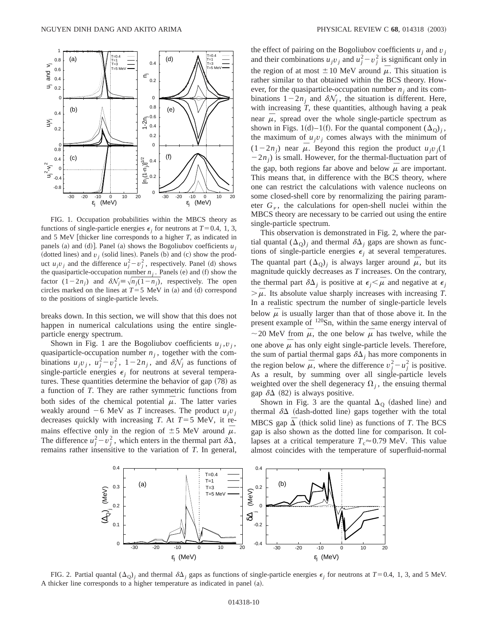

FIG. 1. Occupation probabilities within the MBCS theory as functions of single-particle energies  $\epsilon_i$  for neutrons at  $T=0.4, 1, 3$ , and  $5 \text{ MeV}$  [thicker line corresponds to a higher  $T$ , as indicated in panels (a) and (d)]. Panel (a) shows the Bogoliubov coefficients  $u_i$ (dotted lines) and  $v_j$  (solid lines). Panels (b) and (c) show the product  $u_j v_j$  and the difference  $u_j^2 - v_j^2$ , respectively. Panel (d) shows the quasiparticle-occupation number  $n_j$ . Panels (e) and (f) show the factor  $(1-2n_j)$  and  $\delta \mathcal{N}_j = \sqrt{n_j(1-n_j)}$ , respectively. The open circles marked on the lines at  $T=5$  MeV in (a) and (d) correspond to the positions of single-particle levels.

breaks down. In this section, we will show that this does not happen in numerical calculations using the entire singleparticle energy spectrum.

Shown in Fig. 1 are the Bogoliubov coefficients  $u_j, v_j$ , quasiparticle-occupation number  $n_j$ , together with the combinations  $u_jv_j$ ,  $u_j^2-v_j^2$ ,  $1-2n_j$ , and  $\delta\mathcal{N}_j$  as functions of single-particle energies  $\epsilon_i$  for neutrons at several temperatures. These quantities determine the behavior of gap  $(78)$  as a function of *T*. They are rather symmetric functions from both sides of the chemical potential  $\mu$ . The latter varies weakly around  $-6$  MeV as *T* increases. The product  $u_jv_j$ decreases quickly with increasing *T*. At  $T=5$  MeV, it remains effective only in the region of  $\pm$  5 MeV around  $\overline{\mu}$ . The difference  $u_j^2 - v_j^2$ , which enters in the thermal part  $\delta \Delta$ , remains rather insensitive to the variation of *T*. In general, the effect of pairing on the Bogoliubov coefficients  $u_i$  and  $v_j$ and their combinations  $u_jv_j$  and  $u_j^2 - v_j^2$  is significant only in the region of at most  $\pm 10$  MeV around  $\overline{\mu}$ . This situation is rather similar to that obtained within the BCS theory. However, for the quasiparticle-occupation number  $n_i$  and its combinations  $1-2n_j$  and  $\delta \mathcal{N}_j$ , the situation is different. Here, with increasing *T*, these quantities, although having a peak near  $\overline{\mu}$ , spread over the whole single-particle spectrum as shown in Figs. 1(d)–1(f). For the quantal component  $(\Delta_{\Omega})_i$ , the maximum of  $u_jv_j$  comes always with the minimum of  $(1-2n<sub>i</sub>)$  near  $\overline{\mu}$ . Beyond this region the product  $u<sub>i</sub>v<sub>j</sub>(1)$  $(2n_i)$  is small. However, for the thermal-fluctuation part of the gap, both regions far above and below  $\overline{\mu}$  are important. This means that, in difference with the BCS theory, where one can restrict the calculations with valence nucleons on some closed-shell core by renormalizing the pairing parameter  $G_\nu$ , the calculations for open-shell nuclei within the MBCS theory are necessary to be carried out using the entire single-particle spectrum.

This observation is demonstrated in Fig. 2, where the partial quantal  $(\Delta_0)_i$  and thermal  $\delta \Delta_i$  gaps are shown as functions of single-particle energies  $\epsilon_j$  at several temperatures. The quantal part  $(\Delta_{Q})_i$  is always larger around  $\overline{\mu}$ , but its magnitude quickly decreases as *T* increases. On the contrary, the thermal part  $\delta\Delta_i$  is positive at  $\epsilon_i < \overline{\mu}$  and negative at  $\epsilon_i$  $\overline{\mu}$ . Its absolute value sharply increases with increasing *T*. In a realistic spectrum the number of single-particle levels below  $\bar{\mu}$  is usually larger than that of those above it. In the present example of <sup>120</sup>Sn, within the same energy interval of  $\sim$  20 MeV from  $\bar{\mu}$ , the one below  $\bar{\mu}$  has twelve, while the one above  $\overline{\mu}$  has only eight single-particle levels. Therefore, the sum of partial thermal gaps  $\delta\Delta_i$  has more components in the region below  $\overline{\mu}$ , where the difference  $v_j^2 - u_j^2$  is positive. As a result, by summing over all single-particle levels weighted over the shell degeneracy  $\Omega_i$ , the ensuing thermal gap  $\delta\Delta$  (82) is always positive.

Shown in Fig. 3 are the quantal  $\Delta_{\text{Q}}$  (dashed line) and thermal  $\delta\Delta$  (dash-dotted line) gaps together with the total MBCS gap  $\Delta$  (thick solid line) as functions of *T*. The BCS gap is also shown as the dotted line for comparison. It collapses at a critical temperature  $T_c \approx 0.79$  MeV. This value almost coincides with the temperature of superfluid-normal



FIG. 2. Partial quantal  $(\Delta_0)_i$  and thermal  $\delta \Delta_i$  gaps as functions of single-particle energies  $\epsilon_i$  for neutrons at  $T=0.4$ , 1, 3, and 5 MeV. A thicker line corresponds to a higher temperature as indicated in panel (a).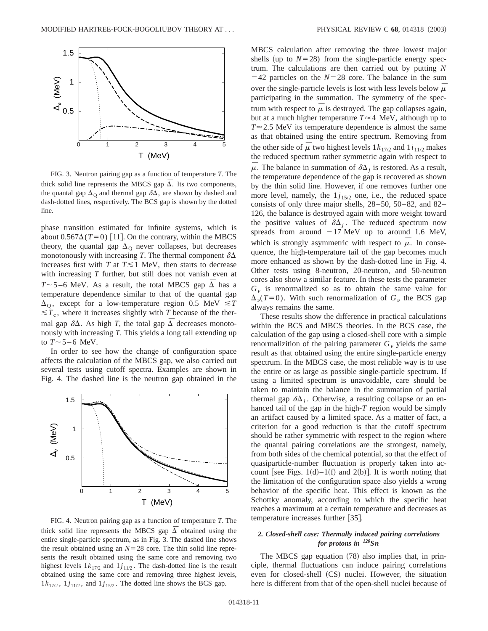

FIG. 3. Neutron pairing gap as a function of temperature *T*. The thick solid line represents the MBCS gap  $\overline{\Delta}$ . Its two components, the quantal gap  $\Delta_0$  and thermal gap  $\delta\Delta$ , are shown by dashed and dash-dotted lines, respectively. The BCS gap is shown by the dotted line.

phase transition estimated for infinite systems, which is about  $0.567\Delta(T=0)$  [11]. On the contrary, within the MBCS theory, the quantal gap  $\Delta_{\Omega}$  never collapses, but decreases monotonously with increasing *T*. The thermal component  $\delta\Delta$ increases first with *T* at  $T \le 1$  MeV, then starts to decrease with increasing *T* further, but still does not vanish even at *T* $\sim$ 5 –6 MeV. As a result, the total MBCS gap  $\overline{\Delta}$  has a temperature dependence similar to that of the quantal gap  $\Delta_{\Omega}$ , except for a low-temperature region 0.5 MeV  $\leq T$  $\leq T_c$ , where it increases slightly with *T* because of the thermal gap  $\delta\Delta$ . As high *T*, the total gap  $\overline{\Delta}$  decreases monotonously with increasing *T*. This yields a long tail extending up to  $T \sim 5 - 6$  MeV.

In order to see how the change of configuration space affects the calculation of the MBCS gap, we also carried out several tests using cutoff spectra. Examples are shown in Fig. 4. The dashed line is the neutron gap obtained in the



FIG. 4. Neutron pairing gap as a function of temperature *T*. The thick solid line represents the MBCS gap  $\overline{\Delta}$  obtained using the entire single-particle spectrum, as in Fig. 3. The dashed line shows the result obtained using an  $N=28$  core. The thin solid line represents the result obtained using the same core and removing two highest levels  $1k_{17/2}$  and  $1j_{11/2}$ . The dash-dotted line is the result obtained using the same core and removing three highest levels,  $1k_{17/2}$ ,  $1j_{11/2}$ , and  $1j_{15/2}$ . The dotted line shows the BCS gap.

MBCS calculation after removing the three lowest major shells (up to  $N=28$ ) from the single-particle energy spectrum. The calculations are then carried out by putting *N*  $=$  42 particles on the  $N=28$  core. The balance in the sum over the single-particle levels is lost with less levels below  $\overline{\mu}$ participating in the summation. The symmetry of the spectrum with respect to  $\overline{\mu}$  is destroyed. The gap collapses again, but at a much higher temperature  $T \approx 4$  MeV, although up to  $T \approx 2.5$  MeV its temperature dependence is almost the same as that obtained using the entire spectrum. Removing from the other side of  $\overline{\mu}$  two highest levels  $1k_{17/2}$  and  $1i_{11/2}$  makes the reduced spectrum rather symmetric again with respect to  $\mu$ . The balance in summation of  $\delta\Delta_i$  is restored. As a result, the temperature dependence of the gap is recovered as shown by the thin solid line. However, if one removes further one more level, namely, the  $1j_{15/2}$  one, i.e., the reduced space consists of only three major shells, 28–50, 50–82, and 82– 126, the balance is destroyed again with more weight toward the positive values of  $\delta \Delta_j$ . The reduced spectrum now spreads from around  $-17$  MeV up to around 1.6 MeV, which is strongly asymmetric with respect to  $\overline{\mu}$ . In consequence, the high-temperature tail of the gap becomes much more enhanced as shown by the dash-dotted line in Fig. 4. Other tests using 8-neutron, 20-neutron, and 50-neutron cores also show a similar feature. In these tests the parameter  $G<sub>v</sub>$  is renormalized so as to obtain the same value for  $\Delta_{\nu}(T=0)$ . With such renormalization of  $G_{\nu}$  the BCS gap always remains the same.

These results show the difference in practical calculations within the BCS and MBCS theories. In the BCS case, the calculation of the gap using a closed-shell core with a simple renormalizition of the pairing parameter  $G<sub>v</sub>$  yields the same result as that obtained using the entire single-particle energy spectrum. In the MBCS case, the most reliable way is to use the entire or as large as possible single-particle spectrum. If using a limited spectrum is unavoidable, care should be taken to maintain the balance in the summation of partial thermal gap  $\delta\Delta_i$ . Otherwise, a resulting collapse or an enhanced tail of the gap in the high-*T* region would be simply an artifact caused by a limited space. As a matter of fact, a criterion for a good reduction is that the cutoff spectrum should be rather symmetric with respect to the region where the quantal pairing correlations are the strongest, namely, from both sides of the chemical potential, so that the effect of quasiparticle-number fluctuation is properly taken into account [see Figs. 1(d)–1(f) and 2(b)]. It is worth noting that the limitation of the configuration space also yields a wrong behavior of the specific heat. This effect is known as the Schottky anomaly, according to which the specific heat reaches a maximum at a certain temperature and decreases as temperature increases further [35].

## *2. Closed-shell case: Thermally induced pairing correlations for protons in 120Sn*

The MBCS gap equation  $(78)$  also implies that, in principle, thermal fluctuations can induce pairing correlations even for closed-shell (CS) nuclei. However, the situation here is different from that of the open-shell nuclei because of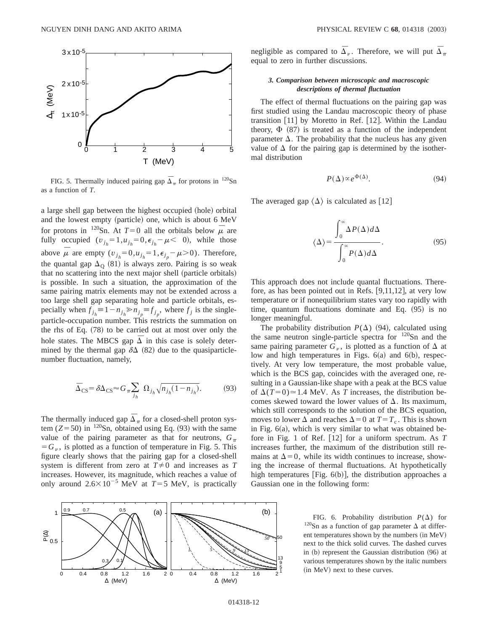

FIG. 5. Thermally induced pairing gap  $\overline{\Delta}_{\pi}$  for protons in <sup>120</sup>Sn as a function of *T*.

a large shell gap between the highest occupied (hole) orbital and the lowest empty (particle) one, which is about 6 MeV for protons in <sup>120</sup>Sn. At  $T=0$  all the orbitals below  $\overline{\mu}$  are fully occupied  $(v_{j_h} = 1, u_{j_h} = 0, \epsilon_{j_h} - \mu < 0)$ , while those above  $\bar{\mu}$  are empty  $(v_{j_h} = 0, u_{j_h} = 1, \epsilon_{j_p} - \mu > 0)$ . Therefore, the quantal gap  $\Delta_{\Omega}$  (81) is always zero. Pairing is so weak that no scattering into the next major shell (particle orbitals) is possible. In such a situation, the approximation of the same pairing matrix elements may not be extended across a too large shell gap separating hole and particle orbitals, especially when  $f_{j_h} \equiv 1 - n_{j_h} \gg n_{j_p} \equiv f_{j_p}$ , where  $f_j$  is the singleparticle-occupation number. This restricts the summation on the rhs of Eq.  $(78)$  to be carried out at most over only the hole states. The MBCS gap  $\overline{\Delta}$  in this case is solely determined by the thermal gap  $\delta\Delta$  (82) due to the quasiparticlenumber fluctuation, namely,

$$
\overline{\Delta}_{\rm CS} = \delta \Delta_{\rm CS} \approx G_{\pi} \sum_{j_h} \Omega_{j_h} \sqrt{n_{j_h} (1 - n_{j_h})}.
$$
 (93)

The thermally induced gap  $\overline{\Delta}_{\pi}$  for a closed-shell proton system  $(Z=50)$  in <sup>120</sup>Sn, obtained using Eq. (93) with the same value of the pairing parameter as that for neutrons,  $G_\pi$  $=G<sub>\nu</sub>$ , is plotted as a function of temperature in Fig. 5. This figure clearly shows that the pairing gap for a closed-shell system is different from zero at  $T \neq 0$  and increases as *T* increases. However, its magnitude, which reaches a value of only around  $2.6 \times 10^{-5}$  MeV at  $T=5$  MeV, is practically negligible as compared to  $\overline{\Delta}_{v}$ . Therefore, we will put  $\overline{\Delta}_{\pi}$ equal to zero in further discussions.

### *3. Comparison between microscopic and macroscopic descriptions of thermal fluctuation*

The effect of thermal fluctuations on the pairing gap was first studied using the Landau macroscopic theory of phase transition  $[11]$  by Moretto in Ref.  $[12]$ . Within the Landau theory,  $\Phi$  (87) is treated as a function of the independent parameter  $\Delta$ . The probability that the nucleus has any given value of  $\Delta$  for the pairing gap is determined by the isothermal distribution

$$
P(\Delta) \propto e^{\Phi(\Delta)}.\tag{94}
$$

The averaged gap  $\langle \Delta \rangle$  is calculated as [12]

$$
\langle \Delta \rangle = \frac{\int_0^\infty \Delta P(\Delta) d\Delta}{\int_0^\infty P(\Delta) d\Delta}.
$$
 (95)

This approach does not include quantal fluctuations. Therefore, as has been pointed out in Refs.  $[9,11,12]$ , at very low temperature or if nonequilibrium states vary too rapidly with time, quantum fluctuations dominate and Eq.  $(95)$  is no longer meaningful.

The probability distribution  $P(\Delta)$  (94), calculated using the same neutron single-particle spectra for  $120$ Sn and the same pairing parameter  $G_v$ , is plotted as a function of  $\Delta$  at low and high temperatures in Figs.  $6(a)$  and  $6(b)$ , respectively. At very low temperature, the most probable value, which is the BCS gap, coincides with the averaged one, resulting in a Gaussian-like shape with a peak at the BCS value of  $\Delta(T=0) \approx 1.4$  MeV. As *T* increases, the distribution becomes skewed toward the lower values of  $\Delta$ . Its maximum, which still corresponds to the solution of the BCS equation, moves to lower  $\Delta$  and reaches  $\Delta = 0$  at  $T = T_c$ . This is shown in Fig.  $6(a)$ , which is very similar to what was obtained before in Fig. 1 of Ref.  $[12]$  for a uniform spectrum. As  $T$ increases further, the maximum of the distribution still remains at  $\Delta=0$ , while its width continues to increase, showing the increase of thermal fluctuations. At hypothetically high temperatures [Fig.  $6(b)$ ], the distribution approaches a Gaussian one in the following form:



FIG. 6. Probability distribution  $P(\Delta)$  for <sup>120</sup>Sn as a function of gap parameter  $\Delta$  at different temperatures shown by the numbers (in MeV) next to the thick solid curves. The dashed curves in  $(b)$  represent the Gaussian distribution  $(96)$  at various temperatures shown by the italic numbers (in MeV) next to these curves.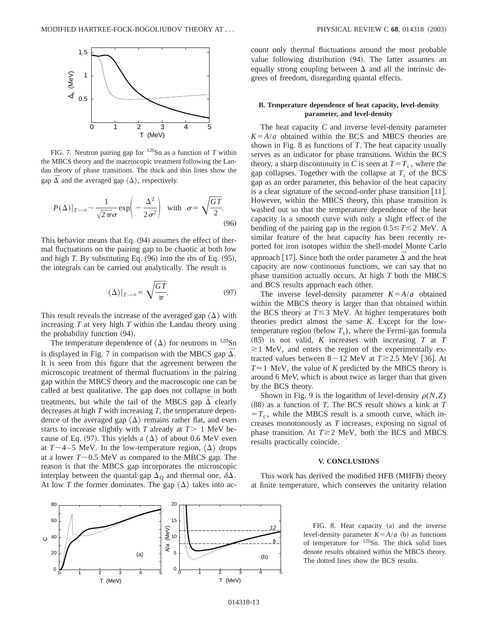

FIG. 7. Neutron pairing gap for 120Sn as a function of *T* within the MBCS theory and the macroscopic treatment following the Landau theory of phase transitions. The thick and thin lines show the gap  $\overline{\Delta}$  and the averaged gap  $\langle \Delta \rangle$ , respectively.

$$
P(\Delta)|_{T \to \infty} \sim \frac{1}{\sqrt{2\pi}\sigma} \exp\left(-\frac{\Delta^2}{2\sigma^2}\right) \quad \text{with} \quad \sigma = \sqrt{\frac{GT}{2}}.
$$
\n(96)

This behavior means that Eq.  $(94)$  assumes the effect of thermal fluctuations on the pairing gap to be chaotic at both low and high  $T$ . By substituting Eq.  $(96)$  into the rhs of Eq.  $(95)$ , the integrals can be carried out analytically. The result is

$$
\langle \Delta \rangle |_{T \to \infty} = \sqrt{\frac{GT}{\pi}}.\tag{97}
$$

This result reveals the increase of the averaged gap  $\langle \Delta \rangle$  with increasing *T* at very high *T* within the Landau theory using the probability function  $(94)$ .

The temperature dependence of  $\langle \Delta \rangle$  for neutrons in <sup>120</sup>Sn is displayed in Fig. 7 in comparison with the MBCS gap  $\overline{\Delta}$ . It is seen from this figure that the agreement between the microscopic treatment of thermal fluctuations in the pairing gap within the MBCS theory and the macroscopic one can be called at best qualitative. The gap does not collapse in both treatments, but while the tail of the MBCS gap  $\overline{\Delta}$  clearly decreases at high *T* with increasing *T*, the temperature dependence of the averaged gap  $\langle \Delta \rangle$  remains rather flat, and even starts to increase slightly with  $T$  already at  $T > 1$  MeV because of Eq. (97). This yields a  $\langle \Delta \rangle$  of about 0.6 MeV even at  $T \sim 4-5$  MeV. In the low-temperature region,  $\langle \Delta \rangle$  drops at a lower  $T \sim 0.5$  MeV as compared to the MBCS gap. The reason is that the MBCS gap incorporates the microscopic interplay between the quantal gap  $\Delta_{\Omega}$  and thermal one,  $\delta \Delta$ . At low *T* the former dominates. The gap  $\langle \Delta \rangle$  takes into account only thermal fluctuations around the most probable value following distribution (94). The latter assumes an equally strong coupling between  $\Delta$  and all the intrinsic degrees of freedom, disregarding quantal effects.

## **B. Temperature dependence of heat capacity, level-density parameter, and level-density**

The heat capacity *C* and inverse level-density parameter  $K = A/a$  obtained within the BCS and MBCS theories are shown in Fig. 8 as functions of *T*. The heat capacity usually serves as an indicator for phase transitions. Within the BCS theory, a sharp discontinuity in *C* is seen at  $T=T_c$ , where the gap collapses. Together with the collapse at  $T_c$  of the BCS gap as an order parameter, this behavior of the heat capacity is a clear signature of the second-order phase transition  $[11]$ . However, within the MBCS theory, this phase transition is washed out so that the temperature dependence of the heat capacity is a smooth curve with only a slight effect of the bending of the pairing gap in the region  $0.5 \le T \le 2$  MeV. A similar feature of the heat capacity has been recently reported for iron isotopes within the shell-model Monte Carlo approach [17]. Since both the order parameter  $\overline{\Delta}$  and the heat capacity are now continuous functions, we can say that no phase transition actually occurs. At high *T* both the MBCS and BCS results approach each other.

The inverse level-density parameter  $K = A/a$  obtained within the MBCS theory is larger than that obtained within the BCS theory at  $T \leq 3$  MeV. At higher temperatures both theories predict almost the same *K*. Except for the lowtemperature region (below  $T_c$ ), where the Fermi-gas formula  $(85)$  is not valid, *K* increases with increasing *T* at *T*  $\approx$  1 MeV, and enters the region of the experimentally extracted values between  $8{\sim}12$  MeV at  $T{\gtrsim}2.5$  MeV [36]. At  $T \approx 1$  MeV, the value of *K* predicted by the MBCS theory is around 6 MeV, which is about twice as larger than that given by the BCS theory.

Shown in Fig. 9 is the logarithm of level-density  $\rho(N,Z)$  $(88)$  as a function of *T*. The BCS result shows a kink at *T*  $T_c$ , while the MBCS result is a smooth curve, which increases monotonously as *T* increases, exposing no signal of phase transition. At  $T \ge 2$  MeV, both the BCS and MBCS results practically coincide.

### **V. CONCLUSIONS**

This work has derived the modified HFB (MHFB) theory at finite temperature, which conserves the unitarity relation



FIG. 8. Heat capacity (a) and the inverse level-density parameter  $K = A/a$  (b) as functions of temperature for 120Sn. The thick solid lines denote results obtained within the MBCS theory. The dotted lines show the BCS results.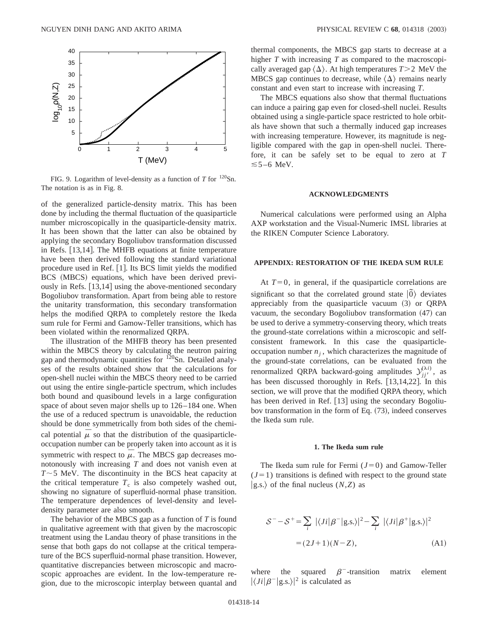

FIG. 9. Logarithm of level-density as a function of *T* for <sup>120</sup>Sn. The notation is as in Fig. 8.

of the generalized particle-density matrix. This has been done by including the thermal fluctuation of the quasiparticle number microscopically in the quasiparticle-density matrix. It has been shown that the latter can also be obtained by applying the secondary Bogoliubov transformation discussed in Refs.  $[13,14]$ . The MHFB equations at finite temperature have been then derived following the standard variational procedure used in Ref.  $[1]$ . Its BCS limit yields the modified BCS (MBCS) equations, which have been derived previously in Refs.  $[13,14]$  using the above-mentioned secondary Bogoliubov transformation. Apart from being able to restore the unitarity transformation, this secondary transformation helps the modified QRPA to completely restore the Ikeda sum rule for Fermi and Gamow-Teller transitions, which has been violated within the renormalized QRPA.

The illustration of the MHFB theory has been presented within the MBCS theory by calculating the neutron pairing gap and thermodynamic quantities for <sup>120</sup>Sn. Detailed analyses of the results obtained show that the calculations for open-shell nuclei within the MBCS theory need to be carried out using the entire single-particle spectrum, which includes both bound and quasibound levels in a large configuration space of about seven major shells up to 126–184 one. When the use of a reduced spectrum is unavoidable, the reduction should be done symmetrically from both sides of the chemical potential  $\mu$  so that the distribution of the quasiparticleoccupation number can be properly taken into account as it is symmetric with respect to  $\overline{\mu}$ . The MBCS gap decreases monotonously with increasing *T* and does not vanish even at  $T \sim$  5 MeV. The discontinuity in the BCS heat capacity at the critical temperature  $T_c$  is also competely washed out, showing no signature of superfluid-normal phase transition. The temperature dependences of level-density and leveldensity parameter are also smooth.

The behavior of the MBCS gap as a function of *T* is found in qualitative agreement with that given by the macroscopic treatment using the Landau theory of phase transitions in the sense that both gaps do not collapse at the critical temperature of the BCS superfluid-normal phase transition. However, quantitative discrepancies between microscopic and macroscopic approaches are evident. In the low-temperature region, due to the microscopic interplay between quantal and thermal components, the MBCS gap starts to decrease at a higher *T* with increasing *T* as compared to the macroscopically averaged gap  $\langle \Delta \rangle$ . At high temperatures *T*>2 MeV the MBCS gap continues to decrease, while  $\langle \Delta \rangle$  remains nearly constant and even start to increase with increasing *T*.

The MBCS equations also show that thermal fluctuations can induce a pairing gap even for closed-shell nuclei. Results obtained using a single-particle space restricted to hole orbitals have shown that such a thermally induced gap increases with increasing temperature. However, its magnitude is negligible compared with the gap in open-shell nuclei. Therefore, it can be safely set to be equal to zero at *T*  $\leq 5 - 6$  MeV.

### **ACKNOWLEDGMENTS**

Numerical calculations were performed using an Alpha AXP workstation and the Visual-Numeric IMSL libraries at the RIKEN Computer Science Laboratory.

## **APPENDIX: RESTORATION OF THE IKEDA SUM RULE**

At  $T=0$ , in general, if the quasiparticle correlations are significant so that the correlated ground state  $|\tilde{0}\rangle$  deviates appreciably from the quasiparticle vacuum  $(3)$  or QRPA vacuum, the secondary Bogoliubov transformation  $(47)$  can be used to derive a symmetry-conserving theory, which treats the ground-state correlations within a microscopic and selfconsistent framework. In this case the quasiparticleoccupation number  $n<sub>i</sub>$ , which characterizes the magnitude of the ground-state correlations, can be evaluated from the renormalized QRPA backward-going amplitudes  $y_{jj'}^{(\lambda i)}$ , as has been discussed thoroughly in Refs.  $[13,14,22]$ . In this section, we will prove that the modified QRPA theory, which has been derived in Ref.  $[13]$  using the secondary Bogoliubov transformation in the form of Eq.  $(73)$ , indeed conserves the Ikeda sum rule.

#### **1. The Ikeda sum rule**

The Ikeda sum rule for Fermi  $(J=0)$  and Gamow-Teller  $(J=1)$  transitions is defined with respect to the ground state  $|g.s.\rangle$  of the final nucleus  $(N,Z)$  as

$$
S^{-} - S^{+} = \sum_{i} |\langle Ji|\beta^{-}|g.s.\rangle|^{2} - \sum_{i} |\langle Ji|\beta^{+}|g.s.\rangle|^{2}
$$
  
= (2J+1)(N-Z), (A1)

where the squared  $\beta$ <sup>-</sup>-transition matrix element  $|\langle Ji|\beta^-|$ g.s. $\rangle|^2$  is calculated as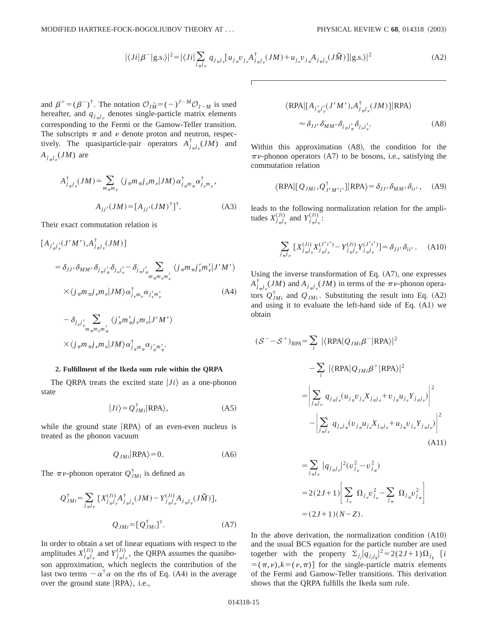$$
|\langle Ji|\beta^{-}|g.s.\rangle|^{2} = |\langle Ji|\sum_{j_{\pi}j_{\nu}} q_{j_{\pi}j_{\nu}}[u_{j_{\pi}}v_{j_{\nu}}A^{\dagger}_{j_{\pi}j_{\nu}}(JM) + u_{j_{\nu}}v_{j_{\pi}}A_{j_{\pi}j_{\nu}}(J\tilde{M})]|g.s.\rangle|^{2}
$$
(A2)

and  $\beta^+ = (\beta^-)^{\dagger}$ . The notation  $\mathcal{O}_{J\tilde{M}} = (-)^{J-M}\mathcal{O}_{J-M}$  is used hereafter, and  $q_{j,pj}$  denotes single-particle matrix elements corresponding to the Fermi or the Gamow-Teller transition. The subscripts  $\pi$  and  $\nu$  denote proton and neutron, respectively. The quasiparticle-pair operators  $A_{j\pi j\nu}^{\dagger}(JM)$  and  $A_{j\pi j}\left( JM\right)$  are

$$
A_{j_{\pi}j_{\nu}}^{\dagger}(JM) = \sum_{m_{\pi}m_{\nu}} \langle j_{\pi}m_{\pi}j_{\nu}m_{\nu} | JM \rangle \alpha_{j_{\pi}m_{\pi}}^{\dagger} \alpha_{j_{\nu}m_{\nu}}^{\dagger},
$$
  

$$
A_{jj'}(JM) = [A_{jj'}(JM)^{\dagger}]^{\dagger}.
$$
 (A3)

Their exact commutation relation is

$$
\begin{split} \left[A_{j'_{\pi}j'_{\nu}}(J'M'), A^{\dagger}_{j_{\pi}j_{\nu}}(JM)\right] \\ &= \delta_{JJ'}\,\delta_{MM'}\,\delta_{j_{\pi}j'_{\pi}}\,\delta_{j_{\nu}j'_{\nu}} - \delta_{j_{\pi}j'_{\pi}} \sum_{m_{\pi}m_{\nu}m'_{\nu}} \left\langle j_{\pi}m_{\pi}j'_{\nu}m'_{\nu} \middle| J'M'\right\rangle \\ &\times \left\langle j_{\pi}m_{\pi}j_{\nu}m_{\nu} \middle| JM \right\rangle \alpha^{\dagger}_{j_{\nu}m_{\nu}}\alpha_{j'_{\nu}m'_{\nu}} \end{split} \tag{A4}
$$

$$
- \delta_{j,\vec{j'}} \sum_{m_{\pi}m_{\nu}m'_{\pi}} \langle j'_{\pi}m'_{\pi}j_{\nu}m_{\nu} | J'M' \rangle
$$
  
 
$$
\times \langle j_{\pi}m_{\pi}j_{\nu}m_{\nu} | JM \rangle \alpha^{ \dagger}_{j_{\pi}m_{\pi}} \alpha_{j'_{\pi}m'_{\pi}}.
$$

### **2. Fulfillment of the Ikeda sum rule within the QRPA**

The ORPA treats the excited state  $|J_i\rangle$  as a one-phonon state

$$
|Ji\rangle = Q_{JMi}^{\dagger} |RPA\rangle, \tag{A5}
$$

while the ground state  $|RPA\rangle$  of an even-even nucleus is treated as the phonon vacuum

$$
Q_{JMi}|RPA\rangle = 0.
$$
 (A6)

The  $\pi \nu$ -phonon operator  $Q^{\dagger}_{JMi}$  is defined as

$$
Q_{JMi}^{\dagger} = \sum_{j_{\pi}j_{\nu}} \left[ X_{j_{\pi}j_{\nu}}^{(Ji)} A_{j_{\pi}j_{\nu}}^{\dagger} (JM) - Y_{j_{\pi}j_{\nu}}^{(Ji)} A_{j_{\pi}j_{\nu}} (J\tilde{M}) \right],
$$
  

$$
Q_{JMi} = [Q_{JMi}^{\dagger}]^{\dagger}.
$$
 (A7)

In order to obtain a set of linear equations with respect to the amplitudes  $X^{(Ji)}_{j\pi j}$  and  $Y^{(Ji)}_{j\pi j}$ , the QRPA assumes the quasiboson approximation, which neglects the contribution of the last two terms  $\sim \alpha^{\dagger} \alpha$  on the rhs of Eq. (A4) in the average over the ground state  $|RPA\rangle$ , i.e.,

$$
\langle \text{RPA} | [A_{j'_{\pi}j'_{\nu}}(J'M'), A_{j_{\pi}j_{\nu}}^{\dagger}(JM)] | \text{RPA} \rangle
$$
  

$$
\approx \delta_{JJ'} \delta_{MM'} \delta_{j_{\pi}j'_{\pi}} \delta_{j_{\nu}j'_{\nu}}.
$$
 (A8)

Within this approximation  $(A8)$ , the condition for the  $\pi \nu$ -phonon operators (A7) to be bosons, i.e., satisfying the commutation relation

$$
\langle \text{RPA} | [Q_{JMi}, Q^{\dagger}_{J'M'i'}] | \text{RPA} \rangle = \delta_{JJ'} \, \delta_{MM'} \, \delta_{ii'} \,, \quad \text{(A9)}
$$

leads to the following normalization relation for the amplitudes  $X^{(Ji)}_{j\pi j_\nu}$  and  $Y^{(Ji)}_{j\pi j_\nu}$ .

$$
\sum_{j_{\pi}j_{\nu}} \left[ X_{j_{\pi}j_{\nu}}^{(Ji)} X_{j_{\pi}j_{\nu}}^{(J'i')} - Y_{j_{\pi}j_{\nu}}^{(Ji)} Y_{j_{\pi}j_{\nu}}^{(J'i')} \right] = \delta_{JJ'} \delta_{ii'} . \quad (A10)
$$

Using the inverse transformation of Eq.  $(A7)$ , one expresses  $A^{\dagger}_{j\pi}$ <sup>*j*</sup><sub>n</sub> $j$ <sub>*y*</sub> $(M)$  and  $A_{j\pi}$ *j*<sub>v</sub> $(M)$  in terms of the  $\pi$ *v*-phonon operators  $Q_{JMi}^{\dagger}$  and  $Q_{JMi}$ . Substituting the result into Eq. (A2) and using it to evaluate the left-hand side of Eq.  $(A1)$  we obtain

$$
(S^- - S^+)_{RPA} = \sum_{i} |\langle RPA|Q_{JMi}\beta^-|RPA\rangle|^2
$$
  

$$
- \sum_{i} |\langle RPA|Q_{JMi}\beta^+|RPA\rangle|^2
$$
  

$$
= \left| \sum_{j_{\pi j_{\nu}}} q_{j_{\pi j_{\nu}}}(u_{j_{\pi}}v_{j_{\nu}}X_{j_{\pi j_{\nu}}} + v_{j_{\pi}}u_{j_{\nu}}Y_{j_{\pi j_{\nu}}}) \right|^2
$$
  

$$
- \left| \sum_{j_{\pi j_{\nu}}} q_{j_{\nu j_{\pi}}}(v_{j_{\pi}}u_{j_{\nu}}X_{j_{\pi j_{\nu}}} + u_{j_{\pi}}v_{j_{\nu}}Y_{j_{\pi j_{\nu}}}) \right|^2
$$
  
(A11)

$$
= \sum_{j_{\pi}j_{\nu}} |q_{j_{\pi}j_{\nu}}|^2 (v_{j_{\nu}}^2 - v_{j_{\pi}}^2)
$$
  
= 2(2J+1)  $\left[ \sum_{j_{\nu}} \Omega_{j_{\nu}} v_{j_{\nu}}^2 - \sum_{j_{\pi}} \Omega_{j_{\pi}} v_{j_{\pi}}^2 \right]$   
= (2J+1)(N-Z).

In the above derivation, the normalization condition  $(A10)$ and the usual BCS equation for the particle number are used together with the property  $\Sigma_{j_i} |q_{j_i j_k}|^2 = 2(2J+1)\Omega_{j_k}$  [*i*  $=(\pi,\nu), k=(\nu,\pi)$  for the single-particle matrix elements of the Fermi and Gamow-Teller transitions. This derivation shows that the QRPA fulfills the Ikeda sum rule.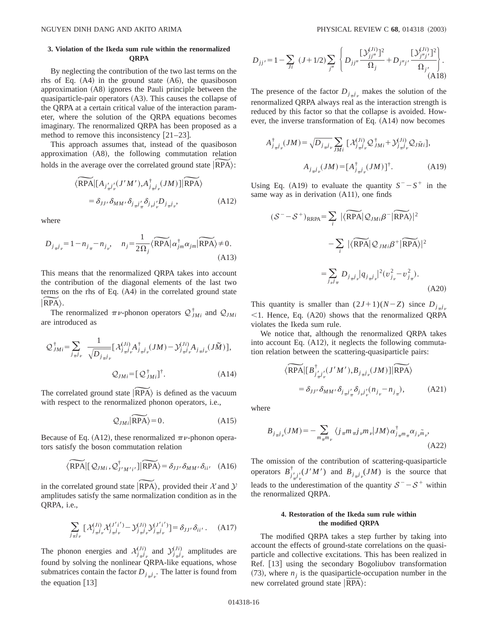## **3. Violation of the Ikeda sum rule within the renormalized QRPA**

By neglecting the contribution of the two last terms on the rhs of Eq.  $(A4)$  in the ground state  $(A6)$ , the quasiboson approximation  $(A8)$  ignores the Pauli principle between the quasiparticle-pair operators (A3). This causes the collapse of the QRPA at a certain critical value of the interaction parameter, where the solution of the QRPA equations becomes imaginary. The renormalized QRPA has been proposed as a method to remove this inconsistency  $[21-23]$ .

This approach assumes that, instead of the quasiboson approximation (A8), the following commutation relation imaginary. The renormalized QRPA has been proposed as a method to remove this inconsistency [21–23].<br>This approach assumes that, instead of the quasiboson approximation (A8), the following commutation relation holds in th pproach assumes that, instead of the *d*<br>
tion (A8), the following commutatic<br>  $\mathcal{L}$  e average over the correlated ground state<br>  $\langle \widetilde{RPA} | [A_{j'j'}(J'M'), A_{j-j}^{\dagger}](JM) | \widetilde{RPA} \rangle$ 

$$
\langle \widetilde{\text{RPA}} | [A_{j'_{\pi}j'_{\nu}}(J'M'), A_{j_{\pi}j_{\nu}}^{\dagger}(JM)] | \widetilde{\text{RPA}} \rangle
$$
  
=  $\delta_{JJ'} \delta_{MM'} \delta_{j_{\pi}j'_{\pi}} \delta_{j_{\nu}j'_{\nu}} D_{j_{\pi}j_{\nu}},$  (A12)

where

$$
= o_{JJ'} o_{MM'} o_{j_{\pi}j'_{\pi}} o_{j_{\nu}j'_{\nu}} o_{j_{\pi}j_{\nu}'}
$$
\n(A12)

\nwhere

\n
$$
D_{j_{\pi}j_{\nu}} = 1 - n_{j_{\pi}} - n_{j_{\nu}'}, \quad n_{j} = \frac{1}{2\Omega_{j}} \langle \widetilde{RPA} | \alpha_{jm}^{\dagger} \alpha_{jm} | \widetilde{RPA} \rangle \neq 0.
$$
\n(A13)

This means that the renormalized QRPA takes into account the contribution of the diagonal elements of the last two terms on the rhs of Eq.  $(A4)$  in the correlated ground state This m<br>the con<br>terms of<br> $\vert \overrightarrow{RPA} \rangle$ .

The renormalized  $\pi \nu$ -phonon operators  $\mathcal{Q}_{JMi}^{\dagger}$  and  $\mathcal{Q}_{JMi}$ are introduced as

$$
\mathcal{Q}_{JMi}^{\dagger} = \sum_{j_{\pi}j_{\nu}} \frac{1}{\sqrt{D_{j_{\pi}j_{\nu}}}} [\mathcal{X}_{j_{\pi}j_{\nu}}^{(Ji)} \mathcal{A}_{j_{\pi}j_{\nu}}^{\dagger} (JM) - \mathcal{Y}_{j_{\pi}j_{\nu}}^{(Ji)} \mathcal{A}_{j_{\pi}j_{\nu}} (J\tilde{M})],
$$
  

$$
\mathcal{Q}_{JMi} = [\mathcal{Q}_{JMi}^{\dagger}]^{\dagger}.
$$
 (A14)  
The correlated ground state  $|\widetilde{RPA}\rangle$  is defined as the vacuum

with respect to the renormalized phonon operators, i.e., state  $|\overrightarrow{RPA}\rangle$  is defined as the vacuum<br>normalized phonon operators, i.e.,<br> $Q_{JMi}| \overrightarrow{RPA}\rangle = 0.$  (A15)

$$
Q_{JMi}|\widetilde{RPA}\rangle = 0.\tag{A15}
$$

Because of Eq. (A12), these renormalized  $\pi \nu$ -phonon operators satisfy the boson commutation relation  $\approx$  5 of Eq. (A12), these renormalized  $\pi$ <br>sfy the boson commutation relation<br> $\langle \widetilde{RPA} | [\mathcal{Q}_{JMi}, \mathcal{Q}_{J'M'i'}^{\dagger}] | \widetilde{RPA} \rangle = \delta_{JJ'}$ 

$$
\langle \widetilde{RPA} | [ \mathcal{Q}_{JMi}, \mathcal{Q}_{J'M'i'}^{\dagger} ] | \widetilde{RPA} \rangle = \delta_{JJ'} \, \delta_{MM'} \, \delta_{ii'} \quad (A16)
$$

in the correlated ground state  $|RPA\rangle$ , provided their X and Y amplitudes satisfy the same normalization condition as in the QRPA, i.e.,

$$
\sum_{j_{\pi}j_{\nu}} \left[ \mathcal{X}_{j_{\pi}j_{\nu}}^{(Ji)} \mathcal{X}_{j_{\pi}j_{\nu}}^{(J'i')} - \mathcal{Y}_{j_{\pi}j_{\nu}}^{(Ji)} \mathcal{Y}_{j_{\pi}j_{\nu}}^{(J'i')} \right] = \delta_{JJ'} \, \delta_{ii'} \,. \tag{A17}
$$

The phonon energies and  $\mathcal{X}_{j_{\pi}j_{\nu}}^{(Ji)}$  and  $\mathcal{Y}_{j_{\pi}j_{\nu}}^{(Ji)}$  amplitudes are found by solving the nonlinear QRPA-like equations, whose submatrices contain the factor  $D_{j\pi^j\nu}$ . The latter is found from the equation  $[13]$ 

$$
D_{jj'} = 1 - \sum_{ji} (J + 1/2) \sum_{j''} \left\{ D_{jj''} \frac{[\mathcal{Y}_{jj''}^{(Ji)}]^2}{\Omega_j} + D_{j''j'} \frac{[\mathcal{Y}_{j''j'}^{(Ji)}]^2}{\Omega_{j'}} \right\}.
$$
\n(A18)

The presence of the factor  $D_{j,pj}$  makes the solution of the renormalized QRPA always real as the interaction strength is reduced by this factor so that the collapse is avoided. However, the inverse transformation of Eq.  $(A14)$  now becomes

$$
A_{j_{\pi}j_{\nu}}^{\dagger}(JM) = \sqrt{D_{j_{\pi}j_{\nu}}} \sum_{JMi} \left[ \mathcal{X}_{j_{\pi}j_{\nu}}^{(Ji)} \mathcal{Q}_{JMi}^{\dagger} + \mathcal{Y}_{j_{\pi}j_{\nu}}^{(Ji)} \mathcal{Q}_{J\tilde{M}i} \right],
$$
  

$$
A_{j_{\pi}j_{\nu}}(JM) = \left[ A_{j_{\pi}j_{\nu}}^{\dagger}(JM) \right]^{\dagger}.
$$
 (A19)

Using Eq. (A19) to evaluate the quantity  $S^- - S^+$  in the same way as in derivation  $(A11)$ , one finds ate the quantity  $S^-$ - $\angle$ <br>(A11), one finds<br> $|\langle \widehat{RPA} | \mathcal{Q}_{JMi} \beta^- | \widehat{RPA} \rangle|$ 

$$
(\mathcal{S}^- - \mathcal{S}^+)_\text{RRPA} = \sum_{i} |\langle \widetilde{\text{RPA}} | \mathcal{Q}_{JMi} \beta^- | \widetilde{\text{RPA}} \rangle|^2
$$

$$
- \sum_{i} |\langle \widetilde{\text{RPA}} | \mathcal{Q}_{JMi} \beta^+ | \widetilde{\text{RPA}} \rangle|^2
$$

$$
= \sum_{j_{\nu}j_{\pi}} D_{j_{\pi}j_{\nu}} |q_{j_{\pi}j_{\nu}}|^2 (v_{j_{\nu}}^2 - v_{j_{\pi}}^2). \tag{A20}
$$

This quantity is smaller than  $(2J+1)(N-Z)$  since  $D_{j-1}$  $\leq$ 1. Hence, Eq. (A20) shows that the renormalized QRPA violates the Ikeda sum rule.

We notice that, although the renormalized QRPA takes into account Eq.  $(A12)$ , it neglects the following commutation relation between the scattering-quasiparticle pairs: ice that, although the renormalized Q<br>nt Eq. (A12), it neglects the following<br>on between the scattering-quasiparticle  $\langle \widehat{RPA} | [B^{\dagger}_{j'j'}(J'M'), B_{j_{\pi}j_{\nu}}(JM)] | \widehat{RPA} \rangle$ 

$$
\widetilde{\text{RPA}}\left[[B^{\dagger}_{j'_{\pi}j'_{\nu}}(J'M'),B_{j_{\pi}j_{\nu}}(JM)]\right]\widetilde{\text{RPA}}\right\}
$$

$$
=\delta_{JJ'}\delta_{MM'}\delta_{j_{\pi}j'_{\pi}}\delta_{j_{\mu}j'_{\nu}}(n_{j_{\nu}}-n_{j_{\pi}}),\tag{A21}
$$

where

$$
B_{j_{\pi}j_{\nu}}(JM) = -\sum_{m_{\pi}m_{\nu}} \langle j_{\pi}m_{\pi}j_{\nu}m_{\nu} | JM \rangle \alpha^{\dagger}_{j_{\pi}m_{\pi}} \alpha_{j_{\nu}\tilde{m}_{\nu}},
$$
\n(A22)

The omission of the contribution of scattering-quasiparticle operators  $B_{j_{\pi}j_{\nu}}^{\dagger} (J'M')$  and  $B_{j_{\pi}j_{\nu}} (JM)$  is the source that leads to the underestimation of the quantity  $S^- - S^+$  within the renormalized QRPA.

### **4. Restoration of the Ikeda sum rule within the modified QRPA**

The modified QRPA takes a step further by taking into account the effects of ground-state correlations on the quasiparticle and collective excitations. This has been realized in Ref. [13] using the secondary Bogoliubov transformation  $(73)$ , where  $n_j$  is the quasiparticle-occupation number in the new correlated ground state  $|RPA\rangle$ :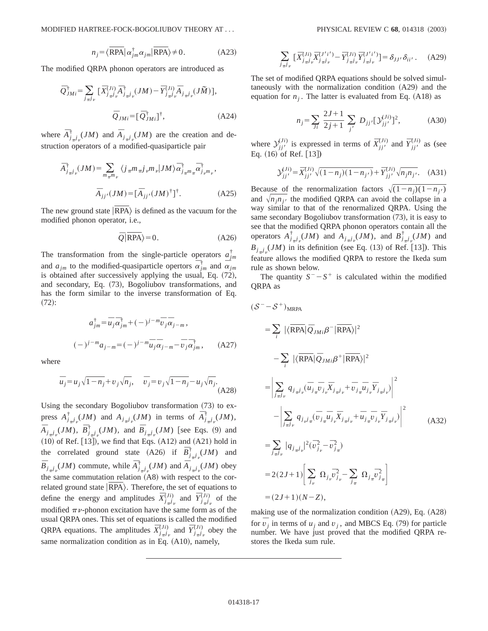MODIFIED HARTREE-FOCK-BOGOLIUBOV THEORY AT . . . PHYSICAL REVIEW C **68**, 014318 ~2003!

$$
n_j = \langle \overline{\text{RPA}} | \alpha_{jm}^{\dagger} \alpha_{jm} | \overline{\text{RPA}} \rangle \neq 0. \tag{A23}
$$

The modified QRPA phonon operators are introduced as

$$
\overline{Q}_{JMi}^{\dagger} = \sum_{j_{\pi}j_{\nu}} \left[ \overline{X}_{j_{\pi}j_{\nu}}^{(Ji)} \overline{A}_{j_{\pi}j_{\nu}}^{\dagger} (JM) - \overline{Y}_{j_{\pi}j_{\nu}}^{(Ji)} \overline{A}_{j_{\pi}j_{\nu}} (J\widetilde{M}) \right],
$$
  

$$
\overline{Q}_{JMi} = \left[ \overline{Q}_{JMi}^{\dagger} \right]^{\dagger}, \tag{A24}
$$

where  $\overline{A}_{j_{\pi}j_{\nu}}^{\dagger}(JM)$  and  $\overline{A}_{j_{\pi}j_{\nu}}(JM)$  are the creation and destruction operators of a modified-quasiparticle pair

$$
\overline{A}_{j_{\pi}j_{\nu}}^{\dagger}(JM) = \sum_{m_{\pi}m_{\nu}} \langle j_{\pi}m_{\pi}j_{\nu}m_{\nu} | JM \rangle \overline{\alpha}_{j_{\pi}m_{\pi}}^{\dagger} \overline{\alpha}_{j_{\nu}m_{\nu}}^{\dagger},
$$

$$
\overline{A}_{jj'}(JM) = [\overline{A}_{jj'}(JM)^{\dagger}]^{\dagger}.
$$
(A25)

The new ground state  $|RPA\rangle$  is defined as the vacuum for the modified phonon operator, i.e.,

$$
\overline{Q}|\overline{\text{RPA}}\rangle = 0. \tag{A26}
$$

The transformation from the single-particle operators  $a_{jm}^{\dagger}$ and  $a_{jm}$  to the modified-quasiparticle opertors  $\overline{\alpha}_{jm}^{\dagger}$  and  $\overline{\alpha}_{jm}$ is obtained after successively applying the usual, Eq.  $(72)$ , and secondary, Eq. (73), Bogoliubov transformations, and has the form similar to the inverse transformation of Eq.  $(72):$ 

$$
a_{jm}^{\dagger} = \overline{u}_j \overline{\alpha}_{jm}^{\dagger} + (-)^{j - m} \overline{v}_j \overline{\alpha}_{j - m},
$$
  

$$
(-)^{j - m} a_{j - m} = (-)^{j - m} \overline{u}_j \overline{\alpha}_{j - m} - \overline{v}_j \overline{\alpha}_{jm}^{\dagger},
$$
 (A27)

where

$$
\bar{u}_j = u_j \sqrt{1 - n_j} + v_j \sqrt{n_j}, \quad \bar{v}_j = v_j \sqrt{1 - n_j} - u_j \sqrt{n_j}.
$$
\n(A28)

Using the secondary Bogoliubov transformation  $(73)$  to express  $A^{\dagger}_{j\pi}j_{\nu}(JM)$  and  $A_{j\pi}j_{\nu}(JM)$  in terms of  $\overline{A}^{\dagger}_{j\pi}j_{\nu}(JM)$ ,  $\overline{A}_{j_{\pi}j_{\nu}}(JM)$ ,  $\overline{B}_{j_{\pi}j_{\nu}}^{\dagger}(JM)$ , and  $\overline{B}_{j_{\pi}j_{\nu}}(JM)$  [see Eqs. (9) and  $(10)$  of Ref.  $[13]$ ), we find that Eqs.  $(A12)$  and  $(A21)$  hold in the correlated ground state (A26) if  $\overline{B}^{\dagger}_{j}$  *JM*) and  $\overline{B}_{j\pi j\gamma}(JM)$  commute, while  $\overline{A}_{j\pi j\gamma}(JM)$  and  $\overline{A}_{j\pi j\gamma}(JM)$  obey the same commutation relation  $(AB)$  with respect to the correlated ground state  $|RPA\rangle$ . Therefore, the set of equations to define the energy and amplitudes  $\overline{X}_{j}^{(Ji)}$  and  $\overline{Y}_{j\pi j}^{(Ji)}$  of the modified  $\pi \nu$ -phonon excitation have the same form as of the usual QRPA ones. This set of equations is called the modified QRPA equations. The amplitudes  $\bar{X}^{(Ji)}_{j\pi j}$  and  $\bar{Y}^{(Ji)}_{j\pi j}$  obey the same normalization condition as in Eq.  $(A10)$ , namely,

$$
\sum_{j_{\pi}j_{\nu}} \left[ \bar{X}_{j_{\pi}j_{\nu}}^{(Ji)} \bar{X}_{j_{\pi}j_{\nu}}^{(J'i')} - \bar{Y}_{j_{\pi}j_{\nu}}^{(Ji)} \bar{Y}_{j_{\pi}j_{\nu}}^{(J'i')} \right] = \delta_{JJ'} \delta_{ii'}.
$$
 (A29)

The set of modified QRPA equations should be solved simultaneously with the normalization condition  $(A29)$  and the equation for  $n<sub>i</sub>$ . The latter is evaluated from Eq.  $(A18)$  as

$$
n_j = \sum_{Ji} \frac{2J+1}{2j+1} \sum_{j'} D_{jj'} [\mathcal{Y}_{jj'}^{(Ji)}]^2, \tag{A30}
$$

where  $\sum_{j}^{(Ji)}$  is expressed in terms of  $\overline{X}_{j}^{(Ji)}$  and  $\overline{Y}_{j}^{(Ji)}$  as (see Eq.  $(16)$  of Ref. [13])

$$
\mathcal{Y}_{jj'}^{(Ji)} = \bar{X}_{jj'}^{(Ji)} \sqrt{(1 - n_j)(1 - n_{j'})} + \bar{Y}_{jj'}^{(Ji)} \sqrt{n_j n_{j'}}.
$$
 (A31)

Because of the renormalization factors  $\sqrt{(1-n_j)(1-n_j)}$ and  $\sqrt{n_i n_j}$  the modified QRPA can avoid the collapse in a way similar to that of the renormalized QRPA. Using the same secondary Bogoliubov transformation  $(73)$ , it is easy to see that the modified QRPA phonon operators contain all the operators  $A_{j\pi j\nu}^{\dagger}(JM)$  and  $A_{j\pi j\nu}(JM)$ , and  $B_{j\pi j\nu}^{\dagger}(JM)$  and  $B_{j_{\pi}j_{\nu}}(JM)$  in its definition (see Eq. (13) of Ref. [13]). This feature allows the modified QRPA to restore the Ikeda sum rule as shown below.

The quantity  $S^- - S^+$  is calculated within the modified QRPA as

$$
(S^- - S^+)_{MRPA}
$$
  
\n
$$
= \sum_{i} |\langle \overline{RPA} | \overline{Q}_{JMi} \beta^- | \overline{RPA} \rangle|^2
$$
  
\n
$$
- \sum_{i} |\langle \overline{RPA} | \overline{Q}_{JMi} \beta^+ | \overline{RPA} \rangle|^2
$$
  
\n
$$
= \left| \sum_{j_{\overline{n}}j_{\nu}} q_{j_{\overline{n}}j_{\nu}} (\overline{u}_{j_{\overline{n}}}\overline{v}_{j_{\nu}}\overline{X}_{j_{\overline{n}}j_{\nu}} + \overline{v}_{j_{\overline{n}}}\overline{u}_{j_{\nu}}\overline{Y}_{j_{\overline{n}}j_{\nu}}) \right|^2
$$
  
\n
$$
- \left| \sum_{j_{\overline{n}}j_{\nu}} q_{j_{\nu}j_{\overline{n}}} (\overline{v}_{j_{\overline{n}}}\overline{u}_{j_{\nu}}\overline{X}_{j_{\overline{n}}j_{\nu}} + \overline{u}_{j_{\overline{n}}}\overline{v}_{j_{\nu}}\overline{Y}_{j_{\overline{n}}j_{\nu}}) \right|^2
$$
  
\n
$$
= \sum_{j_{\overline{n}}j_{\nu}} |q_{j_{\overline{n}}j_{\nu}}|^2 (\overline{v}_{j_{\nu}}^2 - \overline{v}_{j_{\overline{n}}}^2)
$$
  
\n
$$
= 2(2J+1) \left| \sum_{j_{\nu}} \Omega_{j_{\nu}} \overline{v}_{j_{\nu}}^2 - \sum_{j_{\overline{n}}} \Omega_{j_{\overline{n}}}\overline{v}_{j_{\overline{n}}}^2 \right|
$$
  
\n
$$
= (2J+1)(N-Z),
$$
 (A32)

making use of the normalization condition  $(A29)$ , Eq.  $(A28)$ for  $\overline{v}_j$  in terms of  $u_j$  and  $v_j$ , and MBCS Eq. (79) for particle number. We have just proved that the modified QRPA restores the Ikeda sum rule.